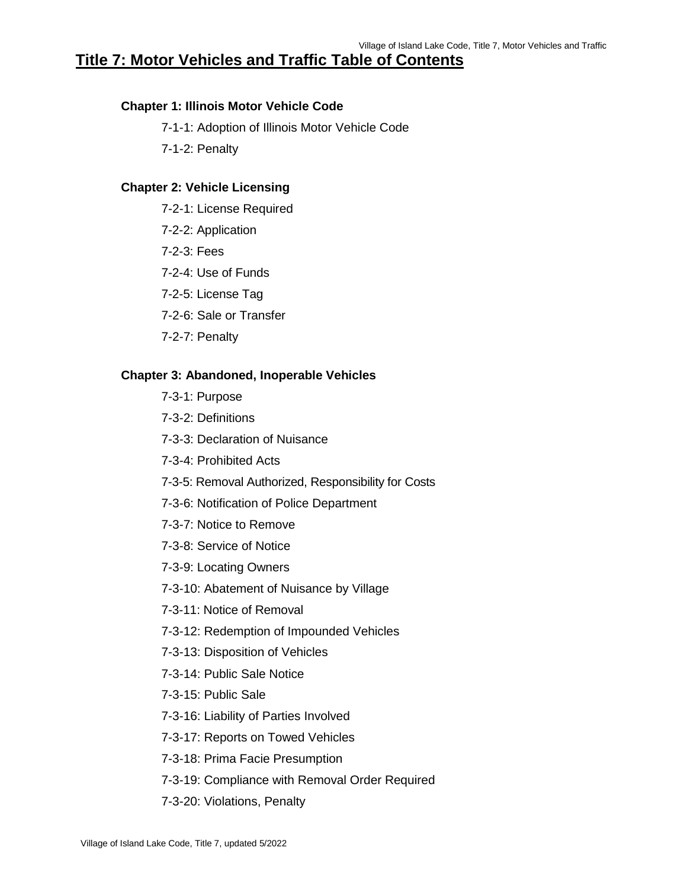# **Title 7: Motor Vehicles and Traffic Table of Contents**

### **Chapter 1: Illinois Motor Vehicle Code**

- 7-1-1: Adoption of Illinois Motor Vehicle Code
- 7-1-2: Penalty

### **Chapter 2: Vehicle Licensing**

- 7-2-1: License Required
- 7-2-2: Application
- 7-2-3: Fees
- 7-2-4: Use of Funds
- 7-2-5: License Tag
- 7-2-6: Sale or Transfer
- 7-2-7: Penalty

#### **Chapter 3: Abandoned, Inoperable Vehicles**

- 7-3-1: Purpose
- 7-3-2: Definitions
- 7-3-3: Declaration of Nuisance
- 7-3-4: Prohibited Acts
- 7-3-5: Removal Authorized, Responsibility for Costs
- 7-3-6: Notification of Police Department
- 7-3-7: Notice to Remove
- 7-3-8: Service of Notice
- 7-3-9: Locating Owners
- 7-3-10: Abatement of Nuisance by Village
- 7-3-11: Notice of Removal
- 7-3-12: Redemption of Impounded Vehicles
- 7-3-13: Disposition of Vehicles
- 7-3-14: Public Sale Notice
- 7-3-15: Public Sale
- 7-3-16: Liability of Parties Involved
- 7-3-17: Reports on Towed Vehicles
- 7-3-18: Prima Facie Presumption
- 7-3-19: Compliance with Removal Order Required
- 7-3-20: Violations, Penalty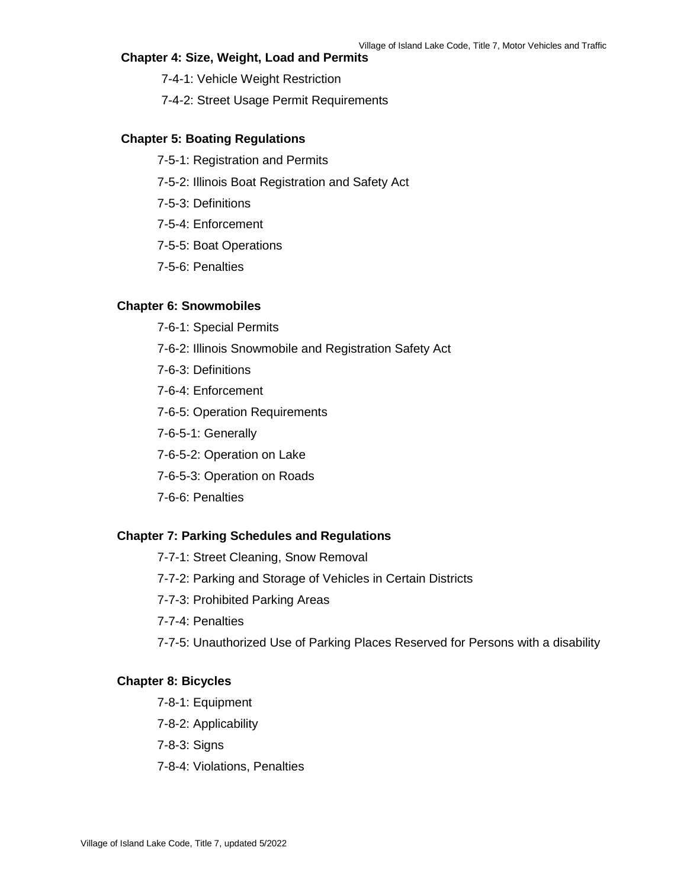# **Chapter 4: Size, Weight, Load and Permits**

- 7-4-1: Vehicle Weight Restriction
- 7-4-2: Street Usage Permit Requirements

# **Chapter 5: Boating Regulations**

- 7-5-1: Registration and Permits
- 7-5-2: Illinois Boat Registration and Safety Act
- 7-5-3: Definitions
- 7-5-4: Enforcement
- 7-5-5: Boat Operations
- 7-5-6: Penalties

### **Chapter 6: Snowmobiles**

- 7-6-1: Special Permits
- 7-6-2: Illinois Snowmobile and Registration Safety Act
- 7-6-3: Definitions
- 7-6-4: Enforcement
- 7-6-5: Operation Requirements
- 7-6-5-1: Generally
- 7-6-5-2: Operation on Lake
- 7-6-5-3: Operation on Roads
- 7-6-6: Penalties

### **Chapter 7: Parking Schedules and Regulations**

- 7-7-1: Street Cleaning, Snow Removal
- 7-7-2: Parking and Storage of Vehicles in Certain Districts
- 7-7-3: Prohibited Parking Areas
- 7-7-4: Penalties
- 7-7-5: Unauthorized Use of Parking Places Reserved for Persons with a disability

### **Chapter 8: Bicycles**

- 7-8-1: Equipment
- 7-8-2: Applicability
- 7-8-3: Signs
- 7-8-4: Violations, Penalties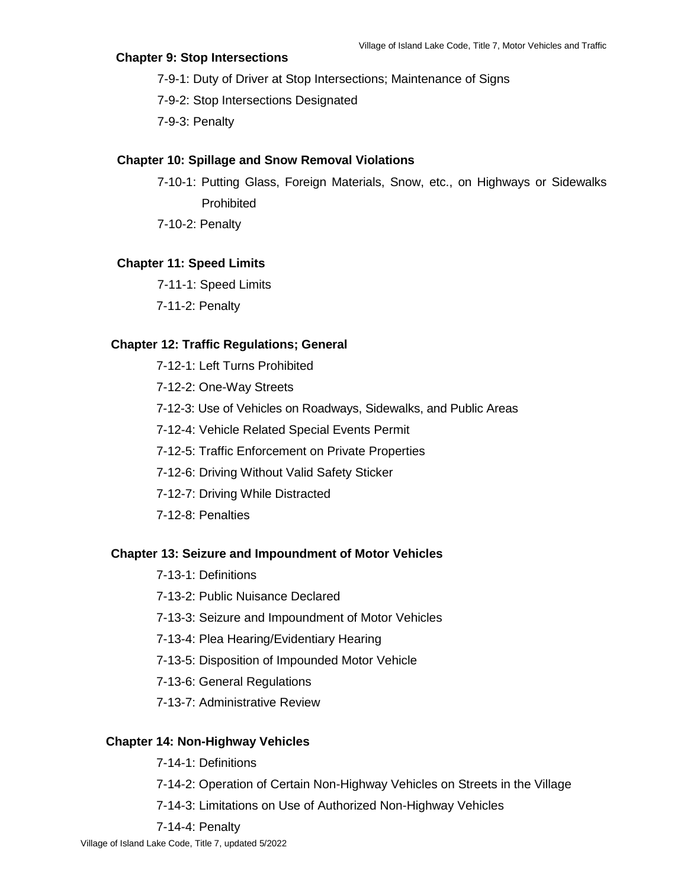# **Chapter 9: Stop Intersections**

- 7-9-1: Duty of Driver at Stop Intersections; Maintenance of Signs
- 7-9-2: Stop Intersections Designated
- 7-9-3: Penalty

# **Chapter 10: Spillage and Snow Removal Violations**

- 7-10-1: Putting Glass, Foreign Materials, Snow, etc., on Highways or Sidewalks **Prohibited**
- 7-10-2: Penalty

# **Chapter 11: Speed Limits**

- 7-11-1: Speed Limits
- 7-11-2: Penalty

# **Chapter 12: Traffic Regulations; General**

- 7-12-1: Left Turns Prohibited
- 7-12-2: One-Way Streets
- 7-12-3: Use of Vehicles on Roadways, Sidewalks, and Public Areas
- 7-12-4: Vehicle Related Special Events Permit
- 7-12-5: Traffic Enforcement on Private Properties
- 7-12-6: Driving Without Valid Safety Sticker
- 7-12-7: Driving While Distracted
- 7-12-8: Penalties

### **Chapter 13: Seizure and Impoundment of Motor Vehicles**

- 7-13-1: Definitions
- 7-13-2: Public Nuisance Declared
- 7-13-3: Seizure and Impoundment of Motor Vehicles
- 7-13-4: Plea Hearing/Evidentiary Hearing
- 7-13-5: Disposition of Impounded Motor Vehicle
- 7-13-6: General Regulations
- 7-13-7: Administrative Review

# **Chapter 14: Non-Highway Vehicles**

- 7-14-1: Definitions
- 7-14-2: Operation of Certain Non-Highway Vehicles on Streets in the Village
- 7-14-3: Limitations on Use of Authorized Non-Highway Vehicles
- 7-14-4: Penalty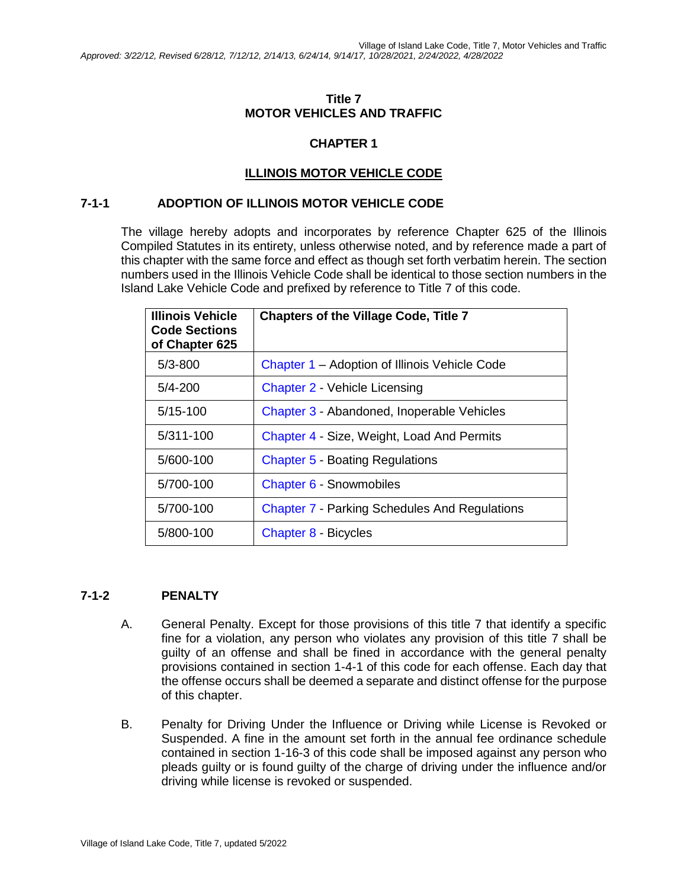# **Title 7 MOTOR VEHICLES AND TRAFFIC**

# **CHAPTER 1**

# **ILLINOIS MOTOR VEHICLE CODE**

### **7-1-1 ADOPTION OF ILLINOIS MOTOR VEHICLE CODE**

The village hereby adopts and incorporates by reference Chapter 625 of the Illinois Compiled Statutes in its entirety, unless otherwise noted, and by reference made a part of this chapter with the same force and effect as though set forth verbatim herein. The section numbers used in the Illinois Vehicle Code shall be identical to those section numbers in the Island Lake Vehicle Code and prefixed by reference to Title 7 of this code.

| Illinois Vehicle<br><b>Code Sections</b><br>of Chapter 625 | <b>Chapters of the Village Code, Title 7</b>         |
|------------------------------------------------------------|------------------------------------------------------|
| $5/3 - 800$                                                | Chapter 1 – Adoption of Illinois Vehicle Code        |
| $5/4 - 200$                                                | Chapter 2 - Vehicle Licensing                        |
| $5/15 - 100$                                               | Chapter 3 - Abandoned, Inoperable Vehicles           |
| 5/311-100                                                  | Chapter 4 - Size, Weight, Load And Permits           |
| 5/600-100                                                  | <b>Chapter 5 - Boating Regulations</b>               |
| 5/700-100                                                  | Chapter 6 - Snowmobiles                              |
| 5/700-100                                                  | <b>Chapter 7 - Parking Schedules And Regulations</b> |
| 5/800-100                                                  | <b>Chapter 8 - Bicycles</b>                          |

# **7-1-2 PENALTY**

- A. General Penalty. Except for those provisions of this title 7 that identify a specific fine for a violation, any person who violates any provision of this title 7 shall be guilty of an offense and shall be fined in accordance with the general penalty provisions contained in section 1-4-1 of this code for each offense. Each day that the offense occurs shall be deemed a separate and distinct offense for the purpose of this chapter.
- B. Penalty for Driving Under the Influence or Driving while License is Revoked or Suspended. A fine in the amount set forth in the annual fee ordinance schedule contained in section 1-16-3 of this code shall be imposed against any person who pleads guilty or is found guilty of the charge of driving under the influence and/or driving while license is revoked or suspended.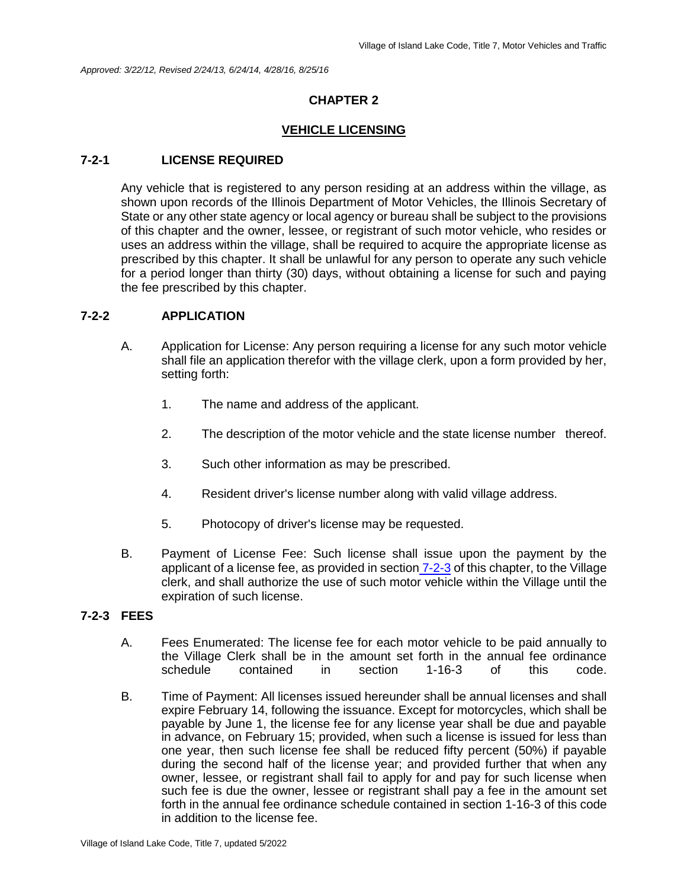### **VEHICLE LICENSING**

### **7-2-1 LICENSE REQUIRED**

Any vehicle that is registered to any person residing at an address within the village, as shown upon records of the Illinois Department of Motor Vehicles, the Illinois Secretary of State or any other state agency or local agency or bureau shall be subject to the provisions of this chapter and the owner, lessee, or registrant of such motor vehicle, who resides or uses an address within the village, shall be required to acquire the appropriate license as prescribed by this chapter. It shall be unlawful for any person to operate any such vehicle for a period longer than thirty (30) days, without obtaining a license for such and paying the fee prescribed by this chapter.

# **7-2-2 APPLICATION**

- A. Application for License: Any person requiring a license for any such motor vehicle shall file an application therefor with the village clerk, upon a form provided by her, setting forth:
	- 1. The name and address of the applicant.
	- 2. The description of the motor vehicle and the state license number thereof.
	- 3. Such other information as may be prescribed.
	- 4. Resident driver's license number along with valid village address.
	- 5. Photocopy of driver's license may be requested.
- B. Payment of License Fee: Such license shall issue upon the payment by the applicant of a license fee, as provided in section 7-2-3 of this chapter, to the Village clerk, and shall authorize the use of such motor vehicle within the Village until the expiration of such license.

### **7-2-3 FEES**

- A. Fees Enumerated: The license fee for each motor vehicle to be paid annually to the Village Clerk shall be in the amount set forth in the annual fee ordinance schedule contained in section 1-16-3 of this code.
- B. Time of Payment: All licenses issued hereunder shall be annual licenses and shall expire February 14, following the issuance. Except for motorcycles, which shall be payable by June 1, the license fee for any license year shall be due and payable in advance, on February 15; provided, when such a license is issued for less than one year, then such license fee shall be reduced fifty percent (50%) if payable during the second half of the license year; and provided further that when any owner, lessee, or registrant shall fail to apply for and pay for such license when such fee is due the owner, lessee or registrant shall pay a fee in the amount set forth in the annual fee ordinance schedule contained in section 1-16-3 of this code in addition to the license fee.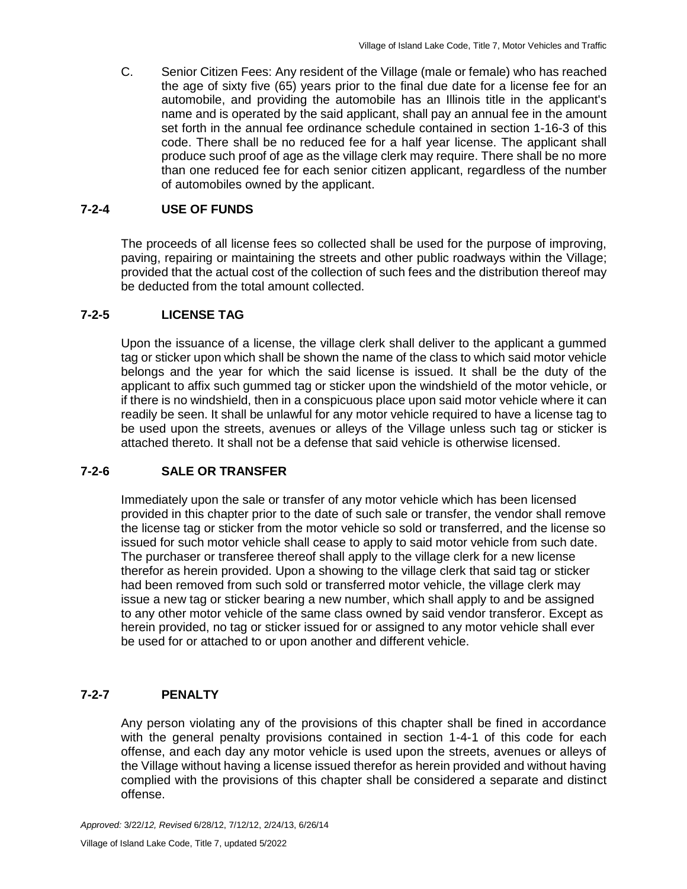C. Senior Citizen Fees: Any resident of the Village (male or female) who has reached the age of sixty five (65) years prior to the final due date for a license fee for an automobile, and providing the automobile has an Illinois title in the applicant's name and is operated by the said applicant, shall pay an annual fee in the amount set forth in the annual fee ordinance schedule contained in section 1-16-3 of this code. There shall be no reduced fee for a half year license. The applicant shall produce such proof of age as the village clerk may require. There shall be no more than one reduced fee for each senior citizen applicant, regardless of the number of automobiles owned by the applicant.

### **7-2-4 USE OF FUNDS**

The proceeds of all license fees so collected shall be used for the purpose of improving, paving, repairing or maintaining the streets and other public roadways within the Village; provided that the actual cost of the collection of such fees and the distribution thereof may be deducted from the total amount collected.

# **7-2-5 LICENSE TAG**

Upon the issuance of a license, the village clerk shall deliver to the applicant a gummed tag or sticker upon which shall be shown the name of the class to which said motor vehicle belongs and the year for which the said license is issued. It shall be the duty of the applicant to affix such gummed tag or sticker upon the windshield of the motor vehicle, or if there is no windshield, then in a conspicuous place upon said motor vehicle where it can readily be seen. It shall be unlawful for any motor vehicle required to have a license tag to be used upon the streets, avenues or alleys of the Village unless such tag or sticker is attached thereto. It shall not be a defense that said vehicle is otherwise licensed.

# **7-2-6 SALE OR TRANSFER**

Immediately upon the sale or transfer of any motor vehicle which has been licensed provided in this chapter prior to the date of such sale or transfer, the vendor shall remove the license tag or sticker from the motor vehicle so sold or transferred, and the license so issued for such motor vehicle shall cease to apply to said motor vehicle from such date. The purchaser or transferee thereof shall apply to the village clerk for a new license therefor as herein provided. Upon a showing to the village clerk that said tag or sticker had been removed from such sold or transferred motor vehicle, the village clerk may issue a new tag or sticker bearing a new number, which shall apply to and be assigned to any other motor vehicle of the same class owned by said vendor transferor. Except as herein provided, no tag or sticker issued for or assigned to any motor vehicle shall ever be used for or attached to or upon another and different vehicle.

# **7-2-7 PENALTY**

Any person violating any of the provisions of this chapter shall be fined in accordance with the general penalty provisions contained in section 1-4-1 of this code for each offense, and each day any motor vehicle is used upon the streets, avenues or alleys of the Village without having a license issued therefor as herein provided and without having complied with the provisions of this chapter shall be considered a separate and distinct offense.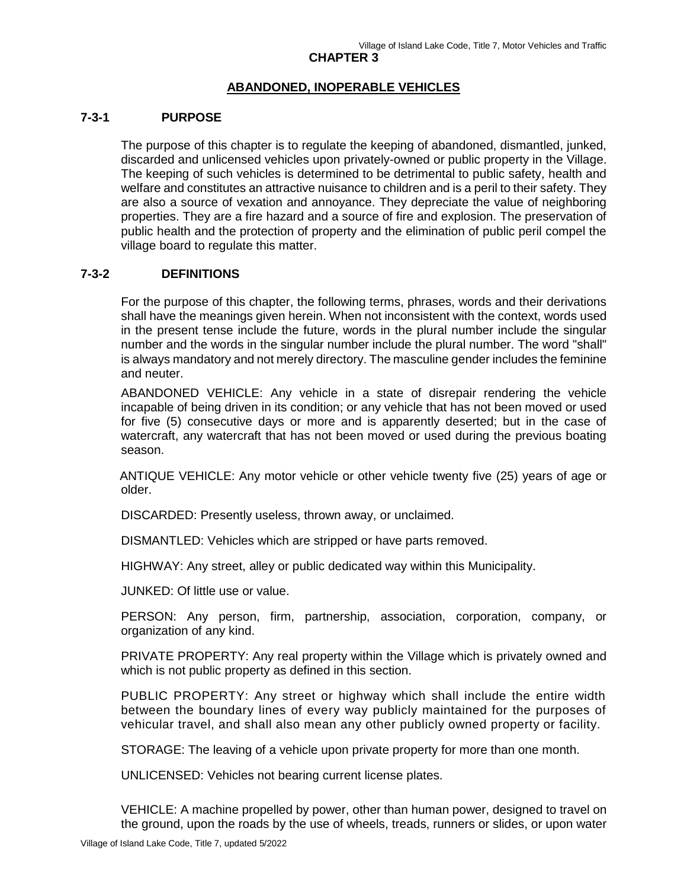# **ABANDONED, INOPERABLE VEHICLES**

### **7-3-1 PURPOSE**

The purpose of this chapter is to regulate the keeping of abandoned, dismantled, junked, discarded and unlicensed vehicles upon privately-owned or public property in the Village. The keeping of such vehicles is determined to be detrimental to public safety, health and welfare and constitutes an attractive nuisance to children and is a peril to their safety. They are also a source of vexation and annoyance. They depreciate the value of neighboring properties. They are a fire hazard and a source of fire and explosion. The preservation of public health and the protection of property and the elimination of public peril compel the village board to regulate this matter.

### **7-3-2 DEFINITIONS**

For the purpose of this chapter, the following terms, phrases, words and their derivations shall have the meanings given herein. When not inconsistent with the context, words used in the present tense include the future, words in the plural number include the singular number and the words in the singular number include the plural number. The word "shall" is always mandatory and not merely directory. The masculine gender includes the feminine and neuter.

ABANDONED VEHICLE: Any vehicle in a state of disrepair rendering the vehicle incapable of being driven in its condition; or any vehicle that has not been moved or used for five (5) consecutive days or more and is apparently deserted; but in the case of watercraft, any watercraft that has not been moved or used during the previous boating season.

 ANTIQUE VEHICLE: Any motor vehicle or other vehicle twenty five (25) years of age or older.

DISCARDED: Presently useless, thrown away, or unclaimed.

DISMANTLED: Vehicles which are stripped or have parts removed.

HIGHWAY: Any street, alley or public dedicated way within this Municipality.

JUNKED: Of little use or value.

PERSON: Any person, firm, partnership, association, corporation, company, or organization of any kind.

PRIVATE PROPERTY: Any real property within the Village which is privately owned and which is not public property as defined in this section.

PUBLIC PROPERTY: Any street or highway which shall include the entire width between the boundary lines of every way publicly maintained for the purposes of vehicular travel, and shall also mean any other publicly owned property or facility.

STORAGE: The leaving of a vehicle upon private property for more than one month.

UNLICENSED: Vehicles not bearing current license plates.

VEHICLE: A machine propelled by power, other than human power, designed to travel on the ground, upon the roads by the use of wheels, treads, runners or slides, or upon water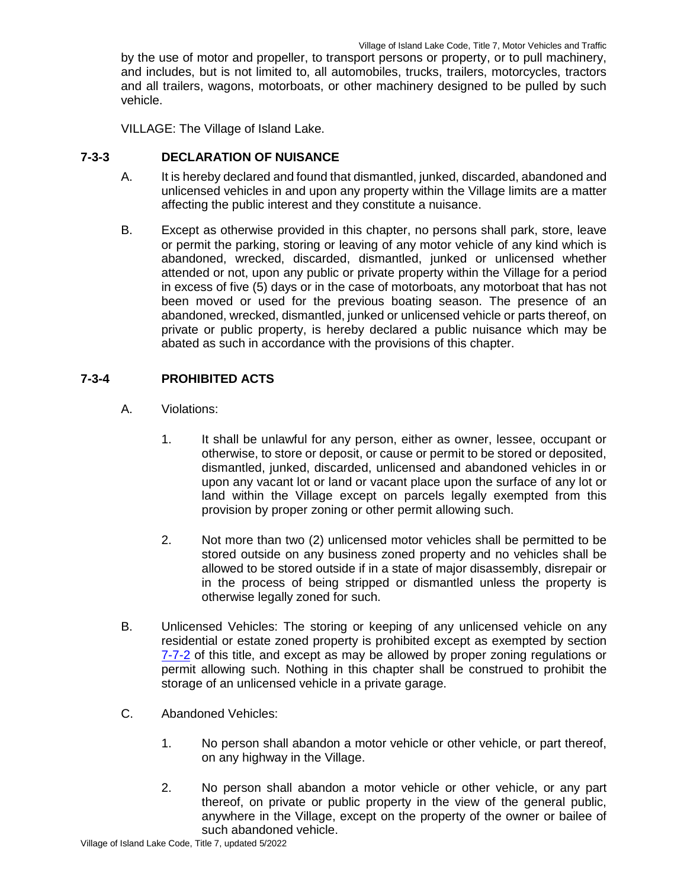by the use of motor and propeller, to transport persons or property, or to pull machinery, and includes, but is not limited to, all automobiles, trucks, trailers, motorcycles, tractors and all trailers, wagons, motorboats, or other machinery designed to be pulled by such vehicle.

VILLAGE: The Village of Island Lake.

# **7-3-3 DECLARATION OF NUISANCE**

- A. It is hereby declared and found that dismantled, junked, discarded, abandoned and unlicensed vehicles in and upon any property within the Village limits are a matter affecting the public interest and they constitute a nuisance.
- B. Except as otherwise provided in this chapter, no persons shall park, store, leave or permit the parking, storing or leaving of any motor vehicle of any kind which is abandoned, wrecked, discarded, dismantled, junked or unlicensed whether attended or not, upon any public or private property within the Village for a period in excess of five (5) days or in the case of motorboats, any motorboat that has not been moved or used for the previous boating season. The presence of an abandoned, wrecked, dismantled, junked or unlicensed vehicle or parts thereof, on private or public property, is hereby declared a public nuisance which may be abated as such in accordance with the provisions of this chapter.

# **7-3-4 PROHIBITED ACTS**

- A. Violations:
	- 1. It shall be unlawful for any person, either as owner, lessee, occupant or otherwise, to store or deposit, or cause or permit to be stored or deposited, dismantled, junked, discarded, unlicensed and abandoned vehicles in or upon any vacant lot or land or vacant place upon the surface of any lot or land within the Village except on parcels legally exempted from this provision by proper zoning or other permit allowing such.
	- 2. Not more than two (2) unlicensed motor vehicles shall be permitted to be stored outside on any business zoned property and no vehicles shall be allowed to be stored outside if in a state of major disassembly, disrepair or in the process of being stripped or dismantled unless the property is otherwise legally zoned for such.
- B. Unlicensed Vehicles: The storing or keeping of any unlicensed vehicle on any residential or estate zoned property is prohibited except as exempted by section 7-7-2 of this title, and except as may be allowed by proper zoning regulations or permit allowing such. Nothing in this chapter shall be construed to prohibit the storage of an unlicensed vehicle in a private garage.
- C. Abandoned Vehicles:
	- 1. No person shall abandon a motor vehicle or other vehicle, or part thereof, on any highway in the Village.
	- 2. No person shall abandon a motor vehicle or other vehicle, or any part thereof, on private or public property in the view of the general public, anywhere in the Village, except on the property of the owner or bailee of such abandoned vehicle.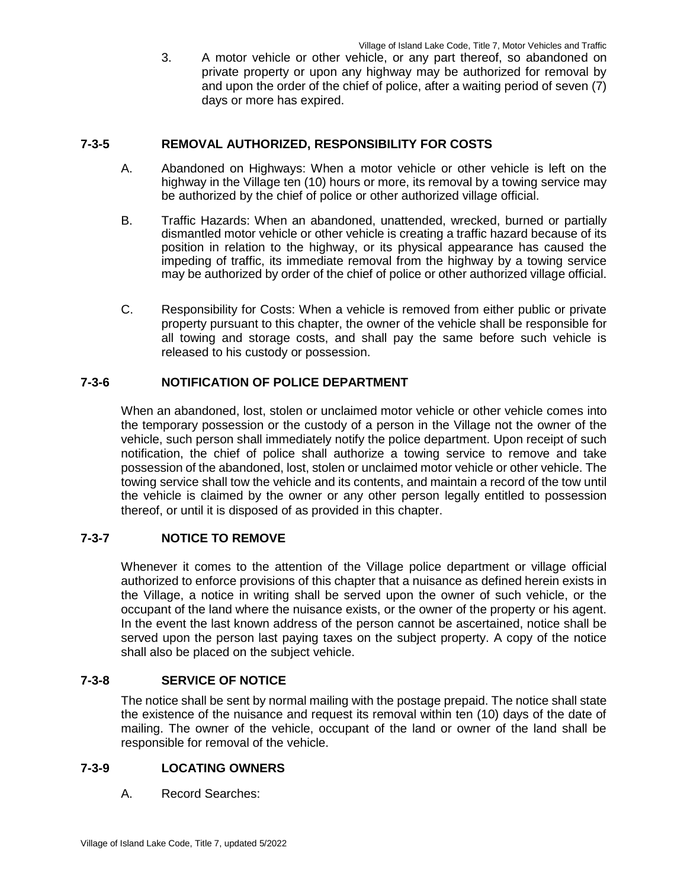3. A motor vehicle or other vehicle, or any part thereof, so abandoned on private property or upon any highway may be authorized for removal by and upon the order of the chief of police, after a waiting period of seven (7) days or more has expired.

### **7-3-5 REMOVAL AUTHORIZED, RESPONSIBILITY FOR COSTS**

- A. Abandoned on Highways: When a motor vehicle or other vehicle is left on the highway in the Village ten (10) hours or more, its removal by a towing service may be authorized by the chief of police or other authorized village official.
- B. Traffic Hazards: When an abandoned, unattended, wrecked, burned or partially dismantled motor vehicle or other vehicle is creating a traffic hazard because of its position in relation to the highway, or its physical appearance has caused the impeding of traffic, its immediate removal from the highway by a towing service may be authorized by order of the chief of police or other authorized village official.
- C. Responsibility for Costs: When a vehicle is removed from either public or private property pursuant to this chapter, the owner of the vehicle shall be responsible for all towing and storage costs, and shall pay the same before such vehicle is released to his custody or possession.

### **7-3-6 NOTIFICATION OF POLICE DEPARTMENT**

When an abandoned, lost, stolen or unclaimed motor vehicle or other vehicle comes into the temporary possession or the custody of a person in the Village not the owner of the vehicle, such person shall immediately notify the police department. Upon receipt of such notification, the chief of police shall authorize a towing service to remove and take possession of the abandoned, lost, stolen or unclaimed motor vehicle or other vehicle. The towing service shall tow the vehicle and its contents, and maintain a record of the tow until the vehicle is claimed by the owner or any other person legally entitled to possession thereof, or until it is disposed of as provided in this chapter.

# **7-3-7 NOTICE TO REMOVE**

Whenever it comes to the attention of the Village police department or village official authorized to enforce provisions of this chapter that a nuisance as defined herein exists in the Village, a notice in writing shall be served upon the owner of such vehicle, or the occupant of the land where the nuisance exists, or the owner of the property or his agent. In the event the last known address of the person cannot be ascertained, notice shall be served upon the person last paying taxes on the subject property. A copy of the notice shall also be placed on the subject vehicle.

### **7-3-8 SERVICE OF NOTICE**

The notice shall be sent by normal mailing with the postage prepaid. The notice shall state the existence of the nuisance and request its removal within ten (10) days of the date of mailing. The owner of the vehicle, occupant of the land or owner of the land shall be responsible for removal of the vehicle.

### **7-3-9 LOCATING OWNERS**

A. Record Searches: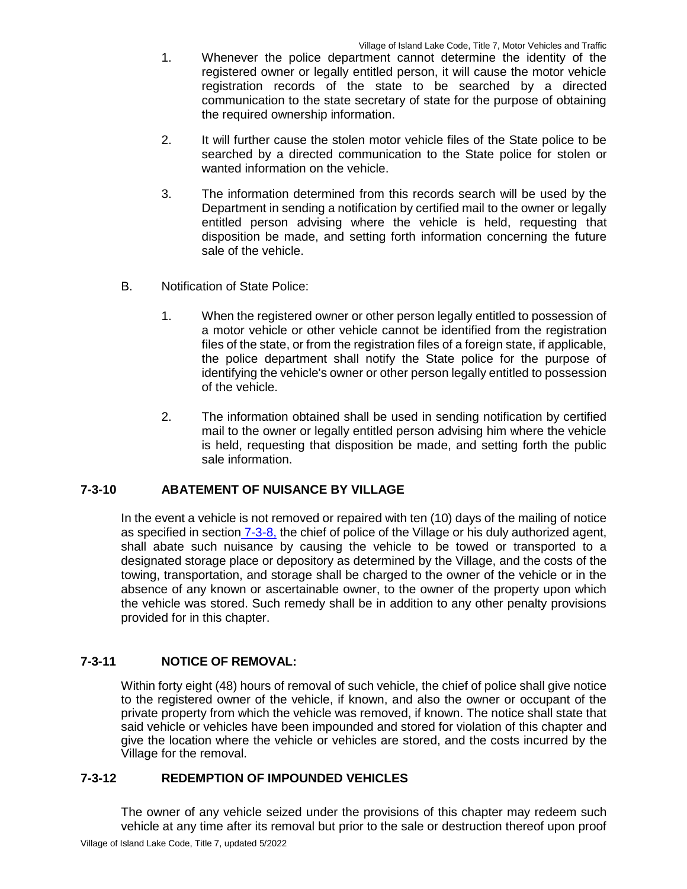- 1. Whenever the police department cannot determine the identity of the registered owner or legally entitled person, it will cause the motor vehicle registration records of the state to be searched by a directed communication to the state secretary of state for the purpose of obtaining the required ownership information.
- 2. It will further cause the stolen motor vehicle files of the State police to be searched by a directed communication to the State police for stolen or wanted information on the vehicle.
- 3. The information determined from this records search will be used by the Department in sending a notification by certified mail to the owner or legally entitled person advising where the vehicle is held, requesting that disposition be made, and setting forth information concerning the future sale of the vehicle.
- B. Notification of State Police:
	- 1. When the registered owner or other person legally entitled to possession of a motor vehicle or other vehicle cannot be identified from the registration files of the state, or from the registration files of a foreign state, if applicable, the police department shall notify the State police for the purpose of identifying the vehicle's owner or other person legally entitled to possession of the vehicle.
	- 2. The information obtained shall be used in sending notification by certified mail to the owner or legally entitled person advising him where the vehicle is held, requesting that disposition be made, and setting forth the public sale information.

# **7-3-10 ABATEMENT OF NUISANCE BY VILLAGE**

In the event a vehicle is not removed or repaired with ten (10) days of the mailing of notice as specified in section 7-3-8, the chief of police of the Village or his duly authorized agent, shall abate such nuisance by causing the vehicle to be towed or transported to a designated storage place or depository as determined by the Village, and the costs of the towing, transportation, and storage shall be charged to the owner of the vehicle or in the absence of any known or ascertainable owner, to the owner of the property upon which the vehicle was stored. Such remedy shall be in addition to any other penalty provisions provided for in this chapter.

# **7-3-11 NOTICE OF REMOVAL:**

Within forty eight (48) hours of removal of such vehicle, the chief of police shall give notice to the registered owner of the vehicle, if known, and also the owner or occupant of the private property from which the vehicle was removed, if known. The notice shall state that said vehicle or vehicles have been impounded and stored for violation of this chapter and give the location where the vehicle or vehicles are stored, and the costs incurred by the Village for the removal.

### **7-3-12 REDEMPTION OF IMPOUNDED VEHICLES**

The owner of any vehicle seized under the provisions of this chapter may redeem such vehicle at any time after its removal but prior to the sale or destruction thereof upon proof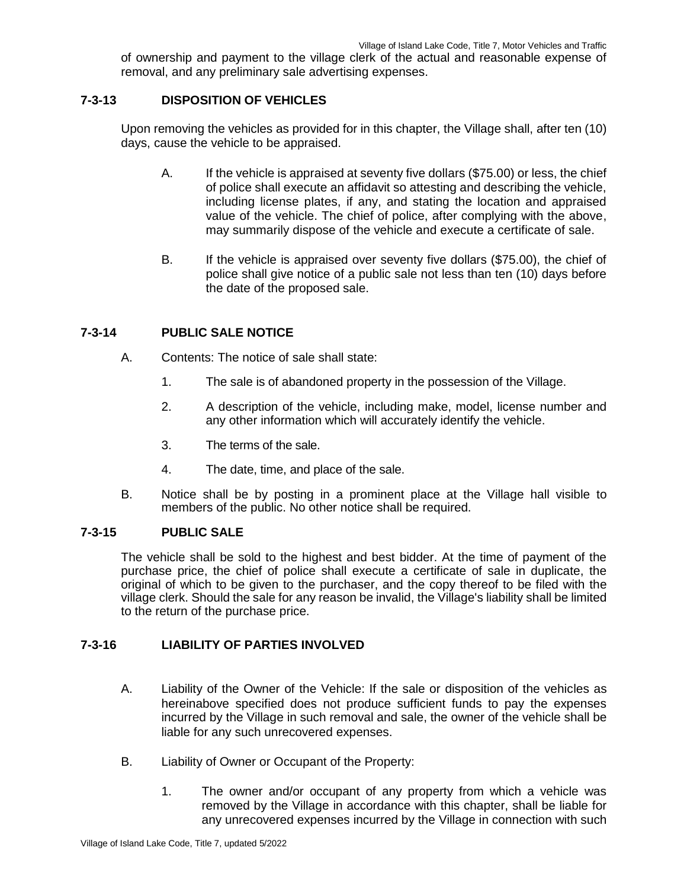of ownership and payment to the village clerk of the actual and reasonable expense of removal, and any preliminary sale advertising expenses.

# **7-3-13 DISPOSITION OF VEHICLES**

Upon removing the vehicles as provided for in this chapter, the Village shall, after ten (10) days, cause the vehicle to be appraised.

- A. If the vehicle is appraised at seventy five dollars (\$75.00) or less, the chief of police shall execute an affidavit so attesting and describing the vehicle, including license plates, if any, and stating the location and appraised value of the vehicle. The chief of police, after complying with the above, may summarily dispose of the vehicle and execute a certificate of sale.
- B. If the vehicle is appraised over seventy five dollars (\$75.00), the chief of police shall give notice of a public sale not less than ten (10) days before the date of the proposed sale.

### **7-3-14 PUBLIC SALE NOTICE**

- A. Contents: The notice of sale shall state:
	- 1. The sale is of abandoned property in the possession of the Village.
	- 2. A description of the vehicle, including make, model, license number and any other information which will accurately identify the vehicle.
	- 3. The terms of the sale.
	- 4. The date, time, and place of the sale.
- B. Notice shall be by posting in a prominent place at the Village hall visible to members of the public. No other notice shall be required.

### **7-3-15 PUBLIC SALE**

The vehicle shall be sold to the highest and best bidder. At the time of payment of the purchase price, the chief of police shall execute a certificate of sale in duplicate, the original of which to be given to the purchaser, and the copy thereof to be filed with the village clerk. Should the sale for any reason be invalid, the Village's liability shall be limited to the return of the purchase price.

# **7-3-16 LIABILITY OF PARTIES INVOLVED**

- A. Liability of the Owner of the Vehicle: If the sale or disposition of the vehicles as hereinabove specified does not produce sufficient funds to pay the expenses incurred by the Village in such removal and sale, the owner of the vehicle shall be liable for any such unrecovered expenses.
- B. Liability of Owner or Occupant of the Property:
	- 1. The owner and/or occupant of any property from which a vehicle was removed by the Village in accordance with this chapter, shall be liable for any unrecovered expenses incurred by the Village in connection with such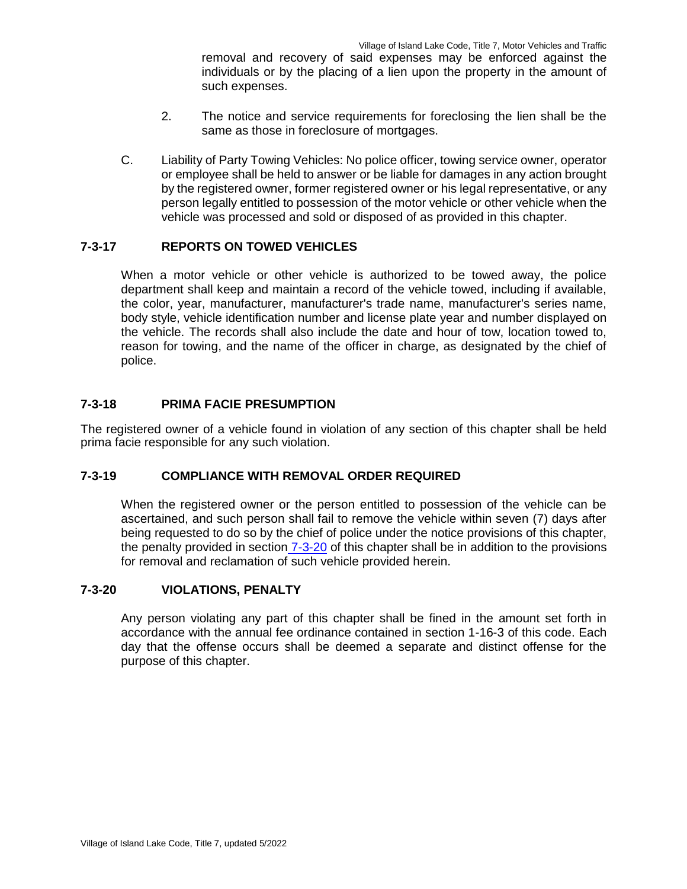removal and recovery of said expenses may be enforced against the individuals or by the placing of a lien upon the property in the amount of such expenses.

- 2. The notice and service requirements for foreclosing the lien shall be the same as those in foreclosure of mortgages.
- C. Liability of Party Towing Vehicles: No police officer, towing service owner, operator or employee shall be held to answer or be liable for damages in any action brought by the registered owner, former registered owner or his legal representative, or any person legally entitled to possession of the motor vehicle or other vehicle when the vehicle was processed and sold or disposed of as provided in this chapter.

# **7-3-17 REPORTS ON TOWED VEHICLES**

When a motor vehicle or other vehicle is authorized to be towed away, the police department shall keep and maintain a record of the vehicle towed, including if available, the color, year, manufacturer, manufacturer's trade name, manufacturer's series name, body style, vehicle identification number and license plate year and number displayed on the vehicle. The records shall also include the date and hour of tow, location towed to, reason for towing, and the name of the officer in charge, as designated by the chief of police.

### **7-3-18 PRIMA FACIE PRESUMPTION**

The registered owner of a vehicle found in violation of any section of this chapter shall be held prima facie responsible for any such violation.

### **7-3-19 COMPLIANCE WITH REMOVAL ORDER REQUIRED**

When the registered owner or the person entitled to possession of the vehicle can be ascertained, and such person shall fail to remove the vehicle within seven (7) days after being requested to do so by the chief of police under the notice provisions of this chapter, the penalty provided in section 7-3-20 of this chapter shall be in addition to the provisions for removal and reclamation of such vehicle provided herein.

# **7-3-20 VIOLATIONS, PENALTY**

Any person violating any part of this chapter shall be fined in the amount set forth in accordance with the annual fee ordinance contained in section 1-16-3 of this code. Each day that the offense occurs shall be deemed a separate and distinct offense for the purpose of this chapter.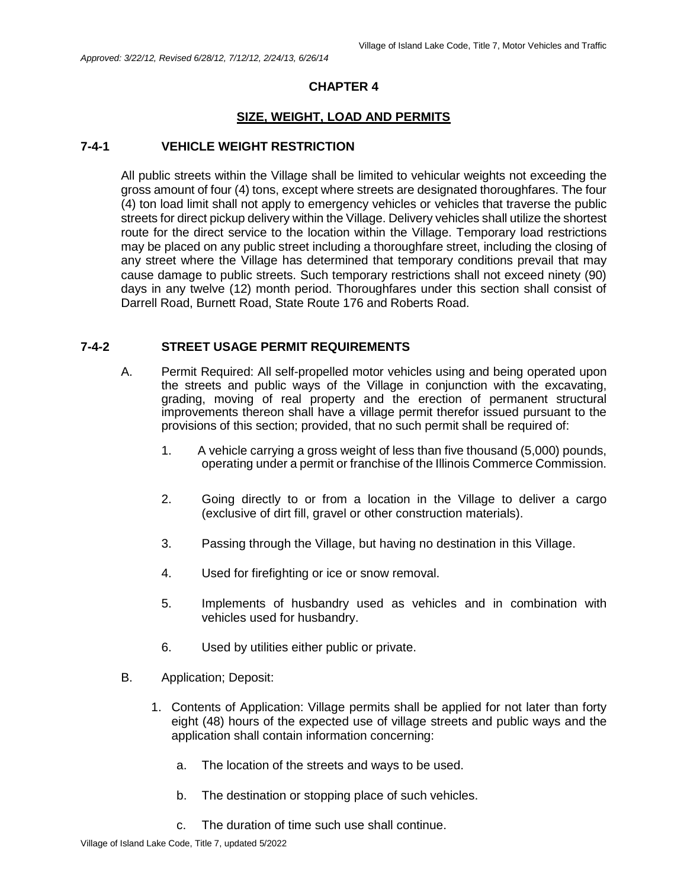# **SIZE, WEIGHT, LOAD AND PERMITS**

#### **7-4-1 VEHICLE WEIGHT RESTRICTION**

All public streets within the Village shall be limited to vehicular weights not exceeding the gross amount of four (4) tons, except where streets are designated thoroughfares. The four (4) ton load limit shall not apply to emergency vehicles or vehicles that traverse the public streets for direct pickup delivery within the Village. Delivery vehicles shall utilize the shortest route for the direct service to the location within the Village. Temporary load restrictions may be placed on any public street including a thoroughfare street, including the closing of any street where the Village has determined that temporary conditions prevail that may cause damage to public streets. Such temporary restrictions shall not exceed ninety (90) days in any twelve (12) month period. Thoroughfares under this section shall consist of Darrell Road, Burnett Road, State Route 176 and Roberts Road.

### **7-4-2 STREET USAGE PERMIT REQUIREMENTS**

- A. Permit Required: All self-propelled motor vehicles using and being operated upon the streets and public ways of the Village in conjunction with the excavating, grading, moving of real property and the erection of permanent structural improvements thereon shall have a village permit therefor issued pursuant to the provisions of this section; provided, that no such permit shall be required of:
	- 1. A vehicle carrying a gross weight of less than five thousand (5,000) pounds, operating under a permit or franchise of the Illinois Commerce Commission.
	- 2. Going directly to or from a location in the Village to deliver a cargo (exclusive of dirt fill, gravel or other construction materials).
	- 3. Passing through the Village, but having no destination in this Village.
	- 4. Used for firefighting or ice or snow removal.
	- 5. Implements of husbandry used as vehicles and in combination with vehicles used for husbandry.
	- 6. Used by utilities either public or private.
- B. Application; Deposit:
	- 1. Contents of Application: Village permits shall be applied for not later than forty eight (48) hours of the expected use of village streets and public ways and the application shall contain information concerning:
		- a. The location of the streets and ways to be used.
		- b. The destination or stopping place of such vehicles.
		- c. The duration of time such use shall continue.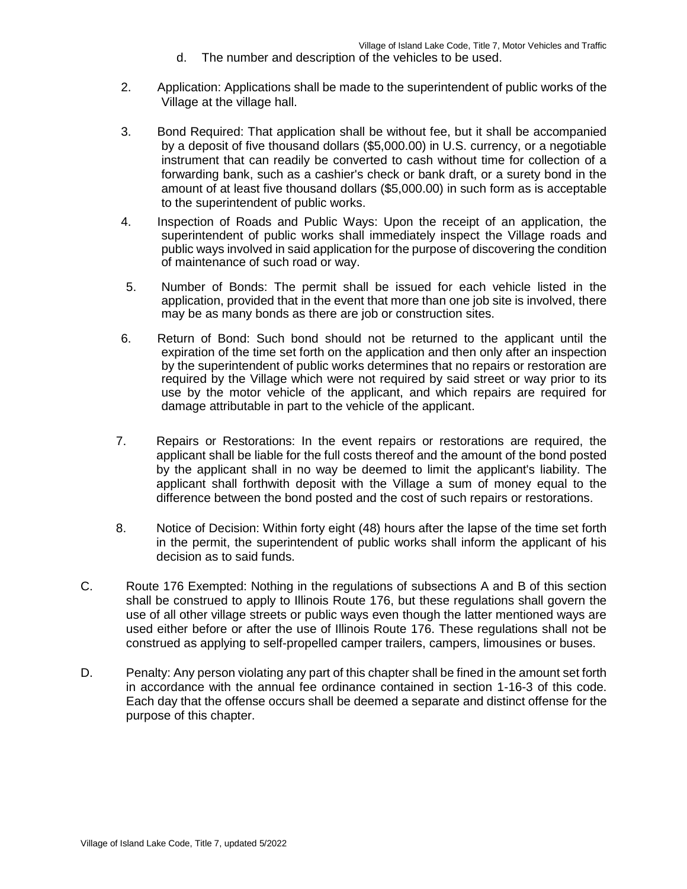- d. The number and description of the vehicles to be used.
- 2. Application: Applications shall be made to the superintendent of public works of the Village at the village hall.
- 3. Bond Required: That application shall be without fee, but it shall be accompanied by a deposit of five thousand dollars (\$5,000.00) in U.S. currency, or a negotiable instrument that can readily be converted to cash without time for collection of a forwarding bank, such as a cashier's check or bank draft, or a surety bond in the amount of at least five thousand dollars (\$5,000.00) in such form as is acceptable to the superintendent of public works.
- 4. Inspection of Roads and Public Ways: Upon the receipt of an application, the superintendent of public works shall immediately inspect the Village roads and public ways involved in said application for the purpose of discovering the condition of maintenance of such road or way.
- 5. Number of Bonds: The permit shall be issued for each vehicle listed in the application, provided that in the event that more than one job site is involved, there may be as many bonds as there are job or construction sites.
- 6. Return of Bond: Such bond should not be returned to the applicant until the expiration of the time set forth on the application and then only after an inspection by the superintendent of public works determines that no repairs or restoration are required by the Village which were not required by said street or way prior to its use by the motor vehicle of the applicant, and which repairs are required for damage attributable in part to the vehicle of the applicant.
- 7. Repairs or Restorations: In the event repairs or restorations are required, the applicant shall be liable for the full costs thereof and the amount of the bond posted by the applicant shall in no way be deemed to limit the applicant's liability. The applicant shall forthwith deposit with the Village a sum of money equal to the difference between the bond posted and the cost of such repairs or restorations.
- 8. Notice of Decision: Within forty eight (48) hours after the lapse of the time set forth in the permit, the superintendent of public works shall inform the applicant of his decision as to said funds.
- C. Route 176 Exempted: Nothing in the regulations of subsections A and B of this section shall be construed to apply to Illinois Route 176, but these regulations shall govern the use of all other village streets or public ways even though the latter mentioned ways are used either before or after the use of Illinois Route 176. These regulations shall not be construed as applying to self-propelled camper trailers, campers, limousines or buses.
- D. Penalty: Any person violating any part of this chapter shall be fined in the amount set forth in accordance with the annual fee ordinance contained in section 1-16-3 of this code. Each day that the offense occurs shall be deemed a separate and distinct offense for the purpose of this chapter.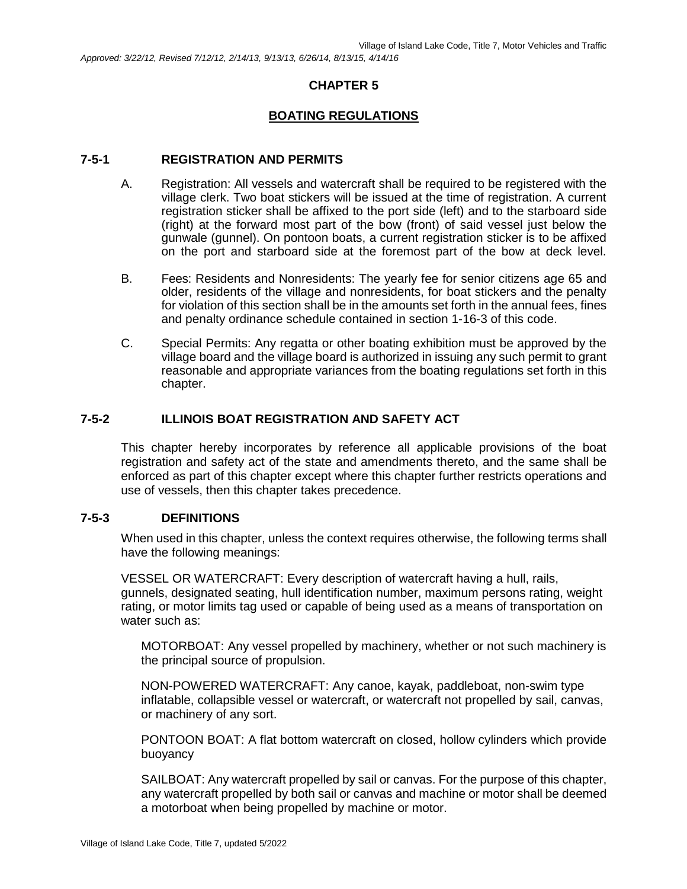*Approved: 3/22/12, Revised 7/12/12, 2/14/13, 9/13/13, 6/26/14, 8/13/15, 4/14/16*

# **CHAPTER 5**

# **BOATING REGULATIONS**

### **7-5-1 REGISTRATION AND PERMITS**

- A. Registration: All vessels and watercraft shall be required to be registered with the village clerk. Two boat stickers will be issued at the time of registration. A current registration sticker shall be affixed to the port side (left) and to the starboard side (right) at the forward most part of the bow (front) of said vessel just below the gunwale (gunnel). On pontoon boats, a current registration sticker is to be affixed on the port and starboard side at the foremost part of the bow at deck level.
- B. Fees: Residents and Nonresidents: The yearly fee for senior citizens age 65 and older, residents of the village and nonresidents, for boat stickers and the penalty for violation of this section shall be in the amounts set forth in the annual fees, fines and penalty ordinance schedule contained in section 1-16-3 of this code.
- C. Special Permits: Any regatta or other boating exhibition must be approved by the village board and the village board is authorized in issuing any such permit to grant reasonable and appropriate variances from the boating regulations set forth in this chapter.

### **7-5-2 ILLINOIS BOAT REGISTRATION AND SAFETY ACT**

This chapter hereby incorporates by reference all applicable provisions of the boat registration and safety act of the state and amendments thereto, and the same shall be enforced as part of this chapter except where this chapter further restricts operations and use of vessels, then this chapter takes precedence.

### **7-5-3 DEFINITIONS**

When used in this chapter, unless the context requires otherwise, the following terms shall have the following meanings:

VESSEL OR WATERCRAFT: Every description of watercraft having a hull, rails, gunnels, designated seating, hull identification number, maximum persons rating, weight rating, or motor limits tag used or capable of being used as a means of transportation on water such as:

MOTORBOAT: Any vessel propelled by machinery, whether or not such machinery is the principal source of propulsion.

NON-POWERED WATERCRAFT: Any canoe, kayak, paddleboat, non-swim type inflatable, collapsible vessel or watercraft, or watercraft not propelled by sail, canvas, or machinery of any sort.

PONTOON BOAT: A flat bottom watercraft on closed, hollow cylinders which provide buoyancy

SAILBOAT: Any watercraft propelled by sail or canvas. For the purpose of this chapter, any watercraft propelled by both sail or canvas and machine or motor shall be deemed a motorboat when being propelled by machine or motor.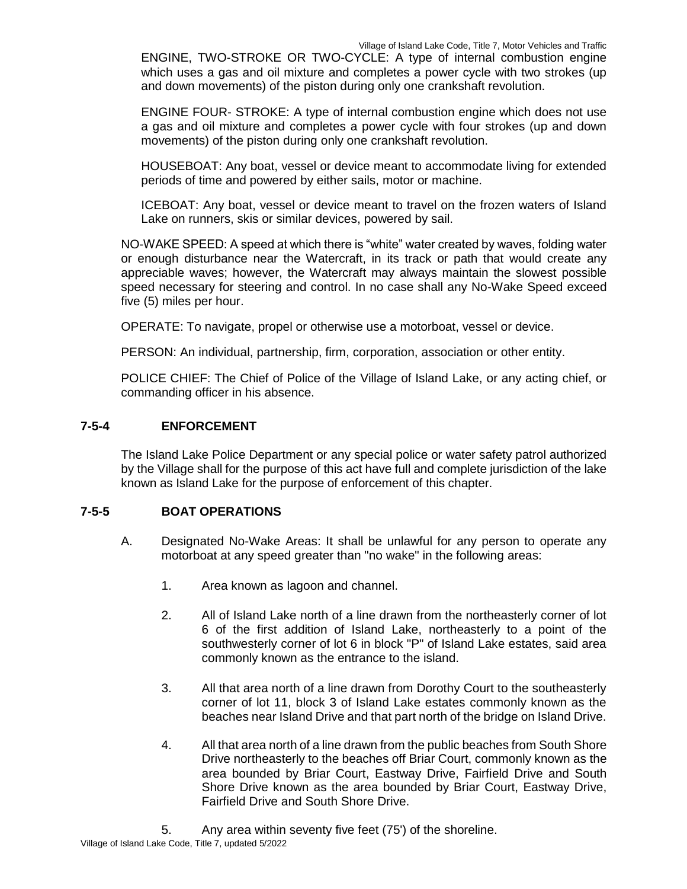ENGINE, TWO-STROKE OR TWO-CYCLE: A type of internal combustion engine which uses a gas and oil mixture and completes a power cycle with two strokes (up and down movements) of the piston during only one crankshaft revolution.

ENGINE FOUR- STROKE: A type of internal combustion engine which does not use a gas and oil mixture and completes a power cycle with four strokes (up and down movements) of the piston during only one crankshaft revolution.

HOUSEBOAT: Any boat, vessel or device meant to accommodate living for extended periods of time and powered by either sails, motor or machine.

ICEBOAT: Any boat, vessel or device meant to travel on the frozen waters of Island Lake on runners, skis or similar devices, powered by sail.

NO-WAKE SPEED: A speed at which there is "white" water created by waves, folding water or enough disturbance near the Watercraft, in its track or path that would create any appreciable waves; however, the Watercraft may always maintain the slowest possible speed necessary for steering and control. In no case shall any No-Wake Speed exceed five (5) miles per hour.

OPERATE: To navigate, propel or otherwise use a motorboat, vessel or device.

PERSON: An individual, partnership, firm, corporation, association or other entity.

POLICE CHIEF: The Chief of Police of the Village of Island Lake, or any acting chief, or commanding officer in his absence.

# **7-5-4 ENFORCEMENT**

The Island Lake Police Department or any special police or water safety patrol authorized by the Village shall for the purpose of this act have full and complete jurisdiction of the lake known as Island Lake for the purpose of enforcement of this chapter.

# **7-5-5 BOAT OPERATIONS**

- A. Designated No-Wake Areas: It shall be unlawful for any person to operate any motorboat at any speed greater than "no wake" in the following areas:
	- 1. Area known as lagoon and channel.
	- 2. All of Island Lake north of a line drawn from the northeasterly corner of lot 6 of the first addition of Island Lake, northeasterly to a point of the southwesterly corner of lot 6 in block "P" of Island Lake estates, said area commonly known as the entrance to the island.
	- 3. All that area north of a line drawn from Dorothy Court to the southeasterly corner of lot 11, block 3 of Island Lake estates commonly known as the beaches near Island Drive and that part north of the bridge on Island Drive.
	- 4. All that area north of a line drawn from the public beaches from South Shore Drive northeasterly to the beaches off Briar Court, commonly known as the area bounded by Briar Court, Eastway Drive, Fairfield Drive and South Shore Drive known as the area bounded by Briar Court, Eastway Drive, Fairfield Drive and South Shore Drive.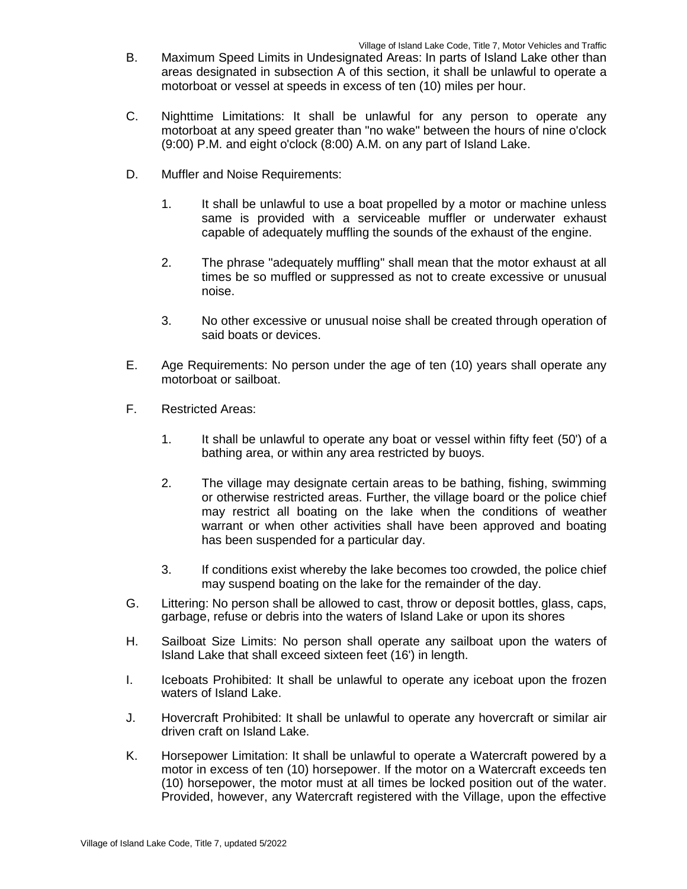- B. Maximum Speed Limits in Undesignated Areas: In parts of Island Lake other than areas designated in subsection A of this section, it shall be unlawful to operate a motorboat or vessel at speeds in excess of ten (10) miles per hour.
- C. Nighttime Limitations: It shall be unlawful for any person to operate any motorboat at any speed greater than "no wake" between the hours of nine o'clock (9:00) P.M. and eight o'clock (8:00) A.M. on any part of Island Lake.
- D. Muffler and Noise Requirements:
	- 1. It shall be unlawful to use a boat propelled by a motor or machine unless same is provided with a serviceable muffler or underwater exhaust capable of adequately muffling the sounds of the exhaust of the engine.
	- 2. The phrase "adequately muffling" shall mean that the motor exhaust at all times be so muffled or suppressed as not to create excessive or unusual noise.
	- 3. No other excessive or unusual noise shall be created through operation of said boats or devices.
- E. Age Requirements: No person under the age of ten (10) years shall operate any motorboat or sailboat.
- F. Restricted Areas:
	- 1. It shall be unlawful to operate any boat or vessel within fifty feet (50') of a bathing area, or within any area restricted by buoys.
	- 2. The village may designate certain areas to be bathing, fishing, swimming or otherwise restricted areas. Further, the village board or the police chief may restrict all boating on the lake when the conditions of weather warrant or when other activities shall have been approved and boating has been suspended for a particular day.
	- 3. If conditions exist whereby the lake becomes too crowded, the police chief may suspend boating on the lake for the remainder of the day.
- G. Littering: No person shall be allowed to cast, throw or deposit bottles, glass, caps, garbage, refuse or debris into the waters of Island Lake or upon its shores
- H. Sailboat Size Limits: No person shall operate any sailboat upon the waters of Island Lake that shall exceed sixteen feet (16') in length.
- I. Iceboats Prohibited: It shall be unlawful to operate any iceboat upon the frozen waters of Island Lake.
- J. Hovercraft Prohibited: It shall be unlawful to operate any hovercraft or similar air driven craft on Island Lake.
- K. Horsepower Limitation: It shall be unlawful to operate a Watercraft powered by a motor in excess of ten (10) horsepower. If the motor on a Watercraft exceeds ten (10) horsepower, the motor must at all times be locked position out of the water. Provided, however, any Watercraft registered with the Village, upon the effective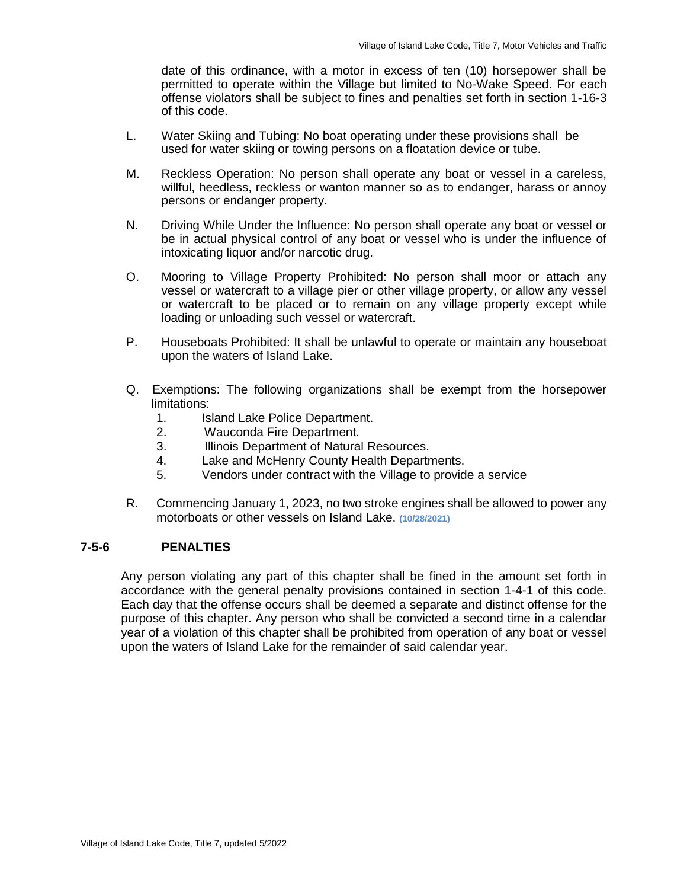date of this ordinance, with a motor in excess of ten (10) horsepower shall be permitted to operate within the Village but limited to No-Wake Speed. For each offense violators shall be subject to fines and penalties set forth in section 1-16-3 of this code.

- L. Water Skiing and Tubing: No boat operating under these provisions shall be used for water skiing or towing persons on a floatation device or tube.
- M. Reckless Operation: No person shall operate any boat or vessel in a careless, willful, heedless, reckless or wanton manner so as to endanger, harass or annoy persons or endanger property.
- N. Driving While Under the Influence: No person shall operate any boat or vessel or be in actual physical control of any boat or vessel who is under the influence of intoxicating liquor and/or narcotic drug.
- O. Mooring to Village Property Prohibited: No person shall moor or attach any vessel or watercraft to a village pier or other village property, or allow any vessel or watercraft to be placed or to remain on any village property except while loading or unloading such vessel or watercraft.
- P. Houseboats Prohibited: It shall be unlawful to operate or maintain any houseboat upon the waters of Island Lake.
- Q. Exemptions: The following organizations shall be exempt from the horsepower limitations:
	- 1. Island Lake Police Department.
	- 2. Wauconda Fire Department.
	- 3. Illinois Department of Natural Resources.
	- 4. Lake and McHenry County Health Departments.
	- 5. Vendors under contract with the Village to provide a service
- R. Commencing January 1, 2023, no two stroke engines shall be allowed to power any motorboats or other vessels on Island Lake. **(10/28/2021)**

### **7-5-6 PENALTIES**

Any person violating any part of this chapter shall be fined in the amount set forth in accordance with the general penalty provisions contained in section 1-4-1 of this code. Each day that the offense occurs shall be deemed a separate and distinct offense for the purpose of this chapter. Any person who shall be convicted a second time in a calendar year of a violation of this chapter shall be prohibited from operation of any boat or vessel upon the waters of Island Lake for the remainder of said calendar year.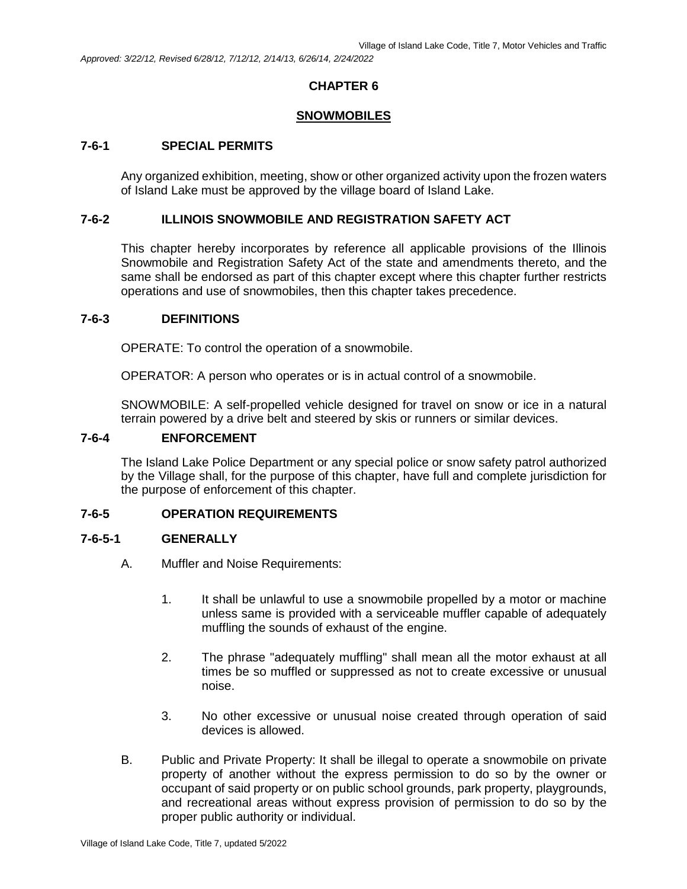### **SNOWMOBILES**

### **7-6-1 SPECIAL PERMITS**

Any organized exhibition, meeting, show or other organized activity upon the frozen waters of Island Lake must be approved by the village board of Island Lake.

#### **7-6-2 ILLINOIS SNOWMOBILE AND REGISTRATION SAFETY ACT**

This chapter hereby incorporates by reference all applicable provisions of the Illinois Snowmobile and Registration Safety Act of the state and amendments thereto, and the same shall be endorsed as part of this chapter except where this chapter further restricts operations and use of snowmobiles, then this chapter takes precedence.

#### **7-6-3 DEFINITIONS**

OPERATE: To control the operation of a snowmobile.

OPERATOR: A person who operates or is in actual control of a snowmobile.

SNOWMOBILE: A self-propelled vehicle designed for travel on snow or ice in a natural terrain powered by a drive belt and steered by skis or runners or similar devices.

#### **7-6-4 ENFORCEMENT**

The Island Lake Police Department or any special police or snow safety patrol authorized by the Village shall, for the purpose of this chapter, have full and complete jurisdiction for the purpose of enforcement of this chapter.

### **7-6-5 OPERATION REQUIREMENTS**

### **7-6-5-1 GENERALLY**

- A. Muffler and Noise Requirements:
	- 1. It shall be unlawful to use a snowmobile propelled by a motor or machine unless same is provided with a serviceable muffler capable of adequately muffling the sounds of exhaust of the engine.
	- 2. The phrase "adequately muffling" shall mean all the motor exhaust at all times be so muffled or suppressed as not to create excessive or unusual noise.
	- 3. No other excessive or unusual noise created through operation of said devices is allowed.
- B. Public and Private Property: It shall be illegal to operate a snowmobile on private property of another without the express permission to do so by the owner or occupant of said property or on public school grounds, park property, playgrounds, and recreational areas without express provision of permission to do so by the proper public authority or individual.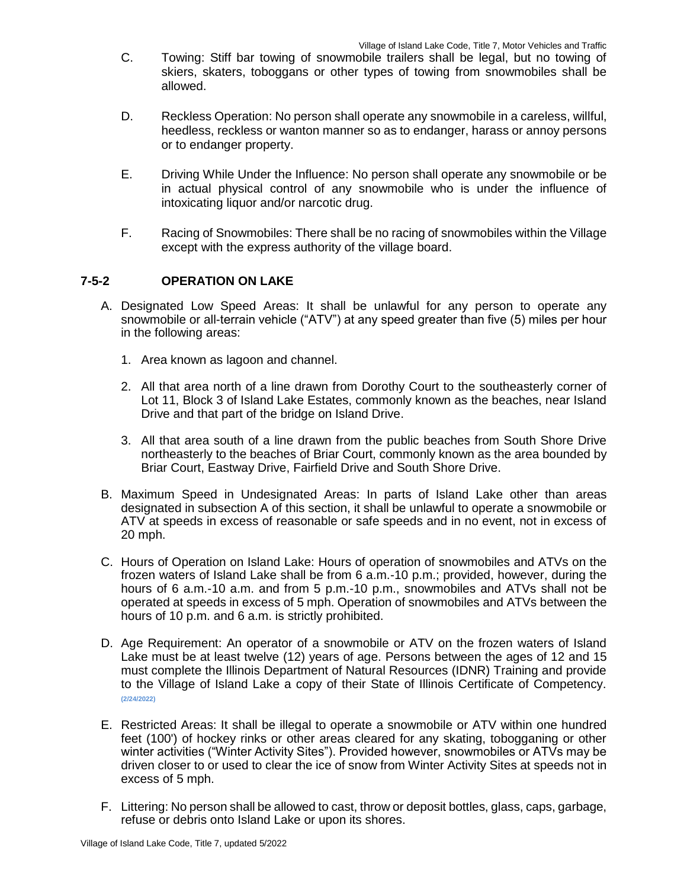- C. Towing: Stiff bar towing of snowmobile trailers shall be legal, but no towing of skiers, skaters, toboggans or other types of towing from snowmobiles shall be allowed.
- D. Reckless Operation: No person shall operate any snowmobile in a careless, willful, heedless, reckless or wanton manner so as to endanger, harass or annoy persons or to endanger property.
- E. Driving While Under the Influence: No person shall operate any snowmobile or be in actual physical control of any snowmobile who is under the influence of intoxicating liquor and/or narcotic drug.
- F. Racing of Snowmobiles: There shall be no racing of snowmobiles within the Village except with the express authority of the village board.

# **7-5-2 OPERATION ON LAKE**

- A. Designated Low Speed Areas: It shall be unlawful for any person to operate any snowmobile or all-terrain vehicle ("ATV") at any speed greater than five (5) miles per hour in the following areas:
	- 1. Area known as lagoon and channel.
	- 2. All that area north of a line drawn from Dorothy Court to the southeasterly corner of Lot 11, Block 3 of Island Lake Estates, commonly known as the beaches, near Island Drive and that part of the bridge on Island Drive.
	- 3. All that area south of a line drawn from the public beaches from South Shore Drive northeasterly to the beaches of Briar Court, commonly known as the area bounded by Briar Court, Eastway Drive, Fairfield Drive and South Shore Drive.
- B. Maximum Speed in Undesignated Areas: In parts of Island Lake other than areas designated in subsection A of this section, it shall be unlawful to operate a snowmobile or ATV at speeds in excess of reasonable or safe speeds and in no event, not in excess of 20 mph.
- C. Hours of Operation on Island Lake: Hours of operation of snowmobiles and ATVs on the frozen waters of Island Lake shall be from 6 a.m.-10 p.m.; provided, however, during the hours of 6 a.m.-10 a.m. and from 5 p.m.-10 p.m., snowmobiles and ATVs shall not be operated at speeds in excess of 5 mph. Operation of snowmobiles and ATVs between the hours of 10 p.m. and 6 a.m. is strictly prohibited.
- D. Age Requirement: An operator of a snowmobile or ATV on the frozen waters of Island Lake must be at least twelve (12) years of age. Persons between the ages of 12 and 15 must complete the Illinois Department of Natural Resources (IDNR) Training and provide to the Village of Island Lake a copy of their State of Illinois Certificate of Competency. **(2/24/2022)**
- E. Restricted Areas: It shall be illegal to operate a snowmobile or ATV within one hundred feet (100') of hockey rinks or other areas cleared for any skating, tobogganing or other winter activities ("Winter Activity Sites"). Provided however, snowmobiles or ATVs may be driven closer to or used to clear the ice of snow from Winter Activity Sites at speeds not in excess of 5 mph.
- F. Littering: No person shall be allowed to cast, throw or deposit bottles, glass, caps, garbage, refuse or debris onto Island Lake or upon its shores.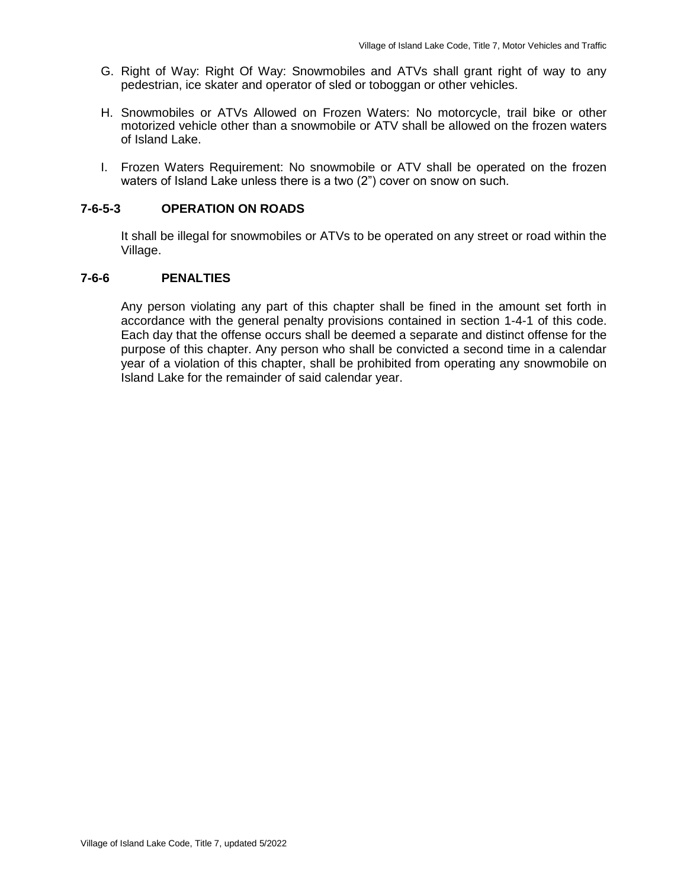- G. Right of Way: Right Of Way: Snowmobiles and ATVs shall grant right of way to any pedestrian, ice skater and operator of sled or toboggan or other vehicles.
- H. Snowmobiles or ATVs Allowed on Frozen Waters: No motorcycle, trail bike or other motorized vehicle other than a snowmobile or ATV shall be allowed on the frozen waters of Island Lake.
- I. Frozen Waters Requirement: No snowmobile or ATV shall be operated on the frozen waters of Island Lake unless there is a two (2") cover on snow on such.

# **7-6-5-3 OPERATION ON ROADS**

It shall be illegal for snowmobiles or ATVs to be operated on any street or road within the Village.

### **7-6-6 PENALTIES**

Any person violating any part of this chapter shall be fined in the amount set forth in accordance with the general penalty provisions contained in section 1-4-1 of this code. Each day that the offense occurs shall be deemed a separate and distinct offense for the purpose of this chapter. Any person who shall be convicted a second time in a calendar year of a violation of this chapter, shall be prohibited from operating any snowmobile on Island Lake for the remainder of said calendar year.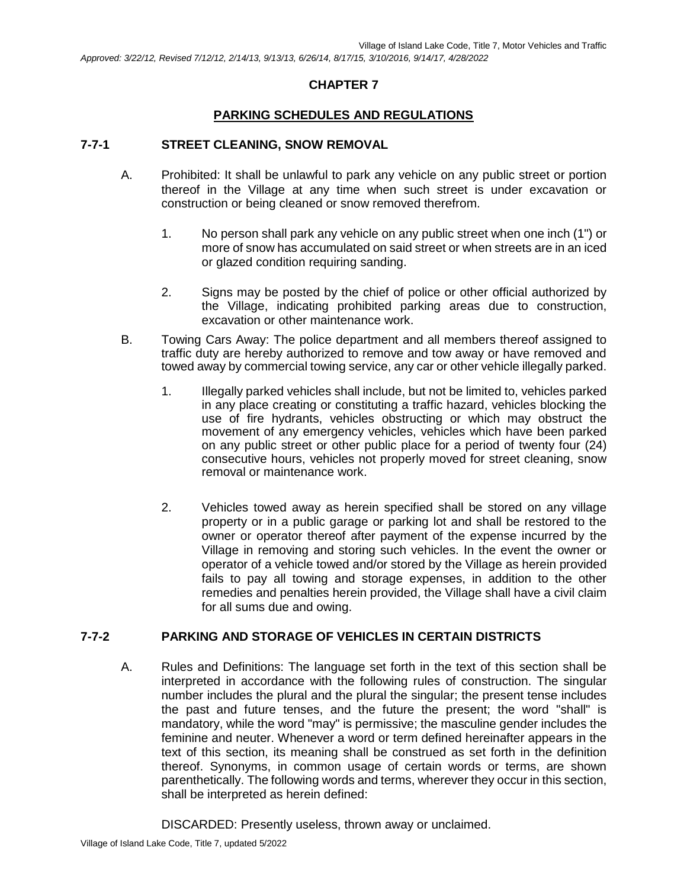# **PARKING SCHEDULES AND REGULATIONS**

# **7-7-1 STREET CLEANING, SNOW REMOVAL**

- A. Prohibited: It shall be unlawful to park any vehicle on any public street or portion thereof in the Village at any time when such street is under excavation or construction or being cleaned or snow removed therefrom.
	- 1. No person shall park any vehicle on any public street when one inch (1") or more of snow has accumulated on said street or when streets are in an iced or glazed condition requiring sanding.
	- 2. Signs may be posted by the chief of police or other official authorized by the Village, indicating prohibited parking areas due to construction, excavation or other maintenance work.
- B. Towing Cars Away: The police department and all members thereof assigned to traffic duty are hereby authorized to remove and tow away or have removed and towed away by commercial towing service, any car or other vehicle illegally parked.
	- 1. Illegally parked vehicles shall include, but not be limited to, vehicles parked in any place creating or constituting a traffic hazard, vehicles blocking the use of fire hydrants, vehicles obstructing or which may obstruct the movement of any emergency vehicles, vehicles which have been parked on any public street or other public place for a period of twenty four (24) consecutive hours, vehicles not properly moved for street cleaning, snow removal or maintenance work.
	- 2. Vehicles towed away as herein specified shall be stored on any village property or in a public garage or parking lot and shall be restored to the owner or operator thereof after payment of the expense incurred by the Village in removing and storing such vehicles. In the event the owner or operator of a vehicle towed and/or stored by the Village as herein provided fails to pay all towing and storage expenses, in addition to the other remedies and penalties herein provided, the Village shall have a civil claim for all sums due and owing.

# **7-7-2 PARKING AND STORAGE OF VEHICLES IN CERTAIN DISTRICTS**

A. Rules and Definitions: The language set forth in the text of this section shall be interpreted in accordance with the following rules of construction. The singular number includes the plural and the plural the singular; the present tense includes the past and future tenses, and the future the present; the word "shall" is mandatory, while the word "may" is permissive; the masculine gender includes the feminine and neuter. Whenever a word or term defined hereinafter appears in the text of this section, its meaning shall be construed as set forth in the definition thereof. Synonyms, in common usage of certain words or terms, are shown parenthetically. The following words and terms, wherever they occur in this section, shall be interpreted as herein defined:

DISCARDED: Presently useless, thrown away or unclaimed.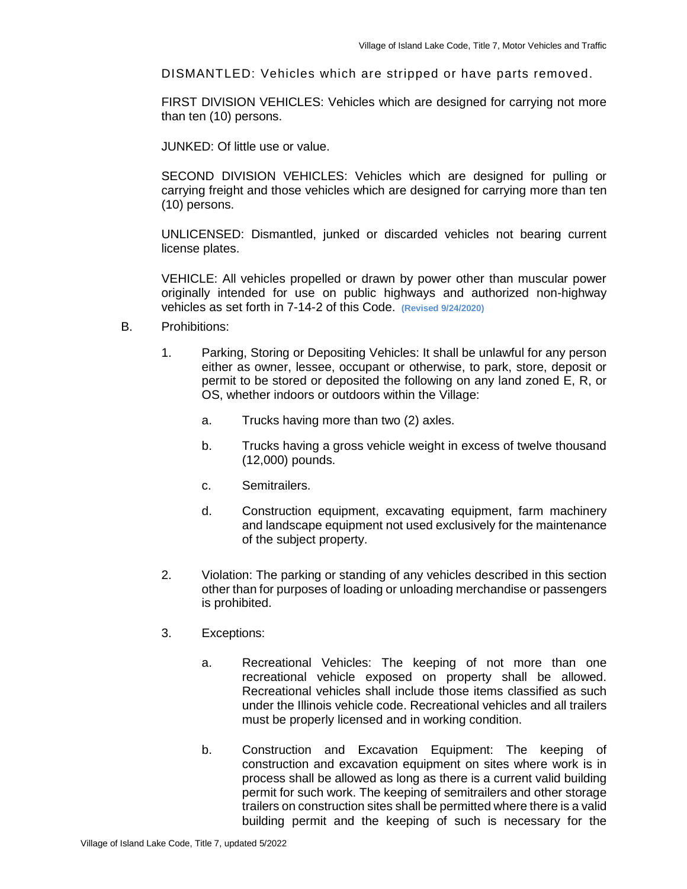DISMANTLED: Vehicles which are stripped or have parts removed.

FIRST DIVISION VEHICLES: Vehicles which are designed for carrying not more than ten (10) persons.

JUNKED: Of little use or value.

SECOND DIVISION VEHICLES: Vehicles which are designed for pulling or carrying freight and those vehicles which are designed for carrying more than ten (10) persons.

UNLICENSED: Dismantled, junked or discarded vehicles not bearing current license plates.

VEHICLE: All vehicles propelled or drawn by power other than muscular power originally intended for use on public highways and authorized non-highway vehicles as set forth in 7-14-2 of this Code. **(Revised 9/24/2020)**

- B. Prohibitions:
	- 1. Parking, Storing or Depositing Vehicles: It shall be unlawful for any person either as owner, lessee, occupant or otherwise, to park, store, deposit or permit to be stored or deposited the following on any land zoned E, R, or OS, whether indoors or outdoors within the Village:
		- a. Trucks having more than two (2) axles.
		- b. Trucks having a gross vehicle weight in excess of twelve thousand (12,000) pounds.
		- c. Semitrailers.
		- d. Construction equipment, excavating equipment, farm machinery and landscape equipment not used exclusively for the maintenance of the subject property.
	- 2. Violation: The parking or standing of any vehicles described in this section other than for purposes of loading or unloading merchandise or passengers is prohibited.
	- 3. Exceptions:
		- a. Recreational Vehicles: The keeping of not more than one recreational vehicle exposed on property shall be allowed. Recreational vehicles shall include those items classified as such under the Illinois vehicle code. Recreational vehicles and all trailers must be properly licensed and in working condition.
		- b. Construction and Excavation Equipment: The keeping of construction and excavation equipment on sites where work is in process shall be allowed as long as there is a current valid building permit for such work. The keeping of semitrailers and other storage trailers on construction sites shall be permitted where there is a valid building permit and the keeping of such is necessary for the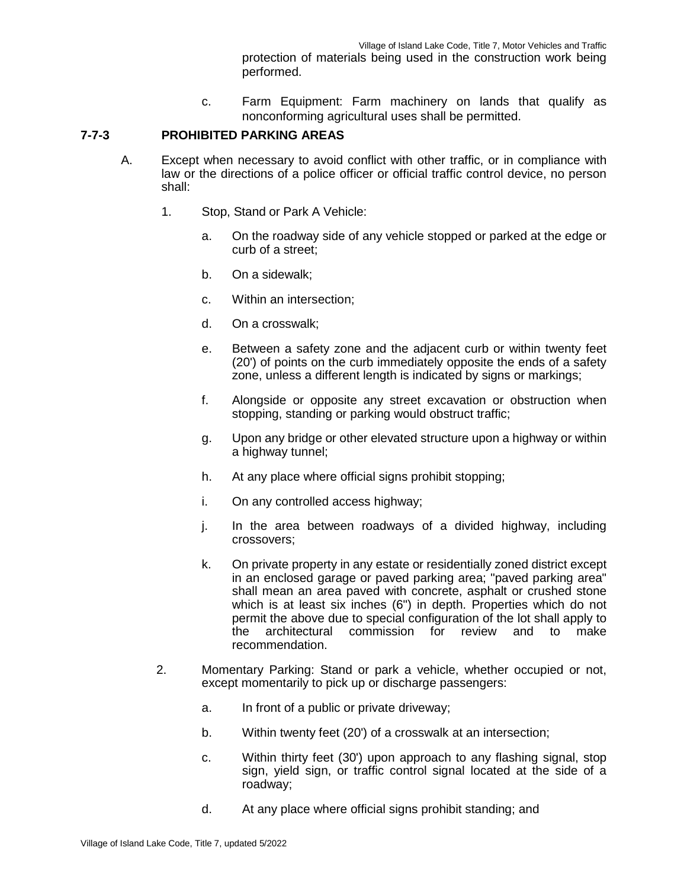protection of materials being used in the construction work being performed.

c. Farm Equipment: Farm machinery on lands that qualify as nonconforming agricultural uses shall be permitted.

# **7-7-3 PROHIBITED PARKING AREAS**

- A. Except when necessary to avoid conflict with other traffic, or in compliance with law or the directions of a police officer or official traffic control device, no person shall:
	- 1. Stop, Stand or Park A Vehicle:
		- a. On the roadway side of any vehicle stopped or parked at the edge or curb of a street;
		- b. On a sidewalk;
		- c. Within an intersection;
		- d. On a crosswalk;
		- e. Between a safety zone and the adjacent curb or within twenty feet (20') of points on the curb immediately opposite the ends of a safety zone, unless a different length is indicated by signs or markings;
		- f. Alongside or opposite any street excavation or obstruction when stopping, standing or parking would obstruct traffic;
		- g. Upon any bridge or other elevated structure upon a highway or within a highway tunnel;
		- h. At any place where official signs prohibit stopping;
		- i. On any controlled access highway;
		- j. In the area between roadways of a divided highway, including crossovers;
		- k. On private property in any estate or residentially zoned district except in an enclosed garage or paved parking area; "paved parking area" shall mean an area paved with concrete, asphalt or crushed stone which is at least six inches (6") in depth. Properties which do not permit the above due to special configuration of the lot shall apply to<br>the architectural commission for review and to make the architectural commission for review and to make recommendation.
	- 2. Momentary Parking: Stand or park a vehicle, whether occupied or not, except momentarily to pick up or discharge passengers:
		- a. In front of a public or private driveway;
		- b. Within twenty feet (20') of a crosswalk at an intersection;
		- c. Within thirty feet (30') upon approach to any flashing signal, stop sign, yield sign, or traffic control signal located at the side of a roadway;
		- d. At any place where official signs prohibit standing; and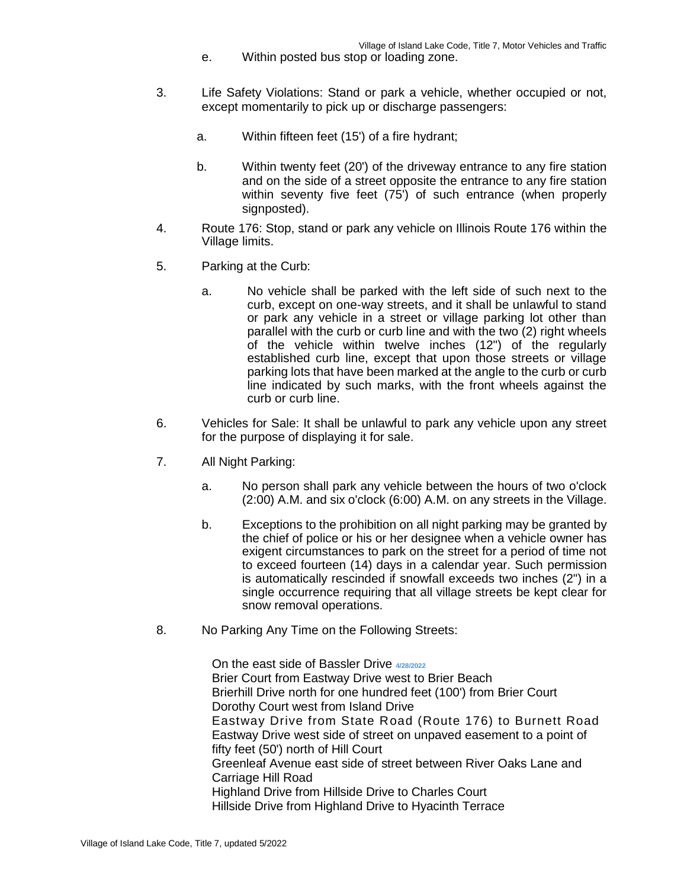- e. Within posted bus stop or loading zone.
- 3. Life Safety Violations: Stand or park a vehicle, whether occupied or not, except momentarily to pick up or discharge passengers:
	- a. Within fifteen feet (15') of a fire hydrant;
	- b. Within twenty feet (20') of the driveway entrance to any fire station and on the side of a street opposite the entrance to any fire station within seventy five feet (75') of such entrance (when properly signposted).
- 4. Route 176: Stop, stand or park any vehicle on Illinois Route 176 within the Village limits.
- 5. Parking at the Curb:
	- a. No vehicle shall be parked with the left side of such next to the curb, except on one-way streets, and it shall be unlawful to stand or park any vehicle in a street or village parking lot other than parallel with the curb or curb line and with the two (2) right wheels of the vehicle within twelve inches (12") of the regularly established curb line, except that upon those streets or village parking lots that have been marked at the angle to the curb or curb line indicated by such marks, with the front wheels against the curb or curb line.
- 6. Vehicles for Sale: It shall be unlawful to park any vehicle upon any street for the purpose of displaying it for sale.
- 7. All Night Parking:
	- a. No person shall park any vehicle between the hours of two o'clock (2:00) A.M. and six o'clock (6:00) A.M. on any streets in the Village.
	- b. Exceptions to the prohibition on all night parking may be granted by the chief of police or his or her designee when a vehicle owner has exigent circumstances to park on the street for a period of time not to exceed fourteen (14) days in a calendar year. Such permission is automatically rescinded if snowfall exceeds two inches (2") in a single occurrence requiring that all village streets be kept clear for snow removal operations.
- 8. No Parking Any Time on the Following Streets:

On the east side of Bassler Drive **4/28/2022** Brier Court from Eastway Drive west to Brier Beach Brierhill Drive north for one hundred feet (100') from Brier Court Dorothy Court west from Island Drive Eastway Drive from State Road (Route 176) to Burnett Road Eastway Drive west side of street on unpaved easement to a point of fifty feet (50') north of Hill Court Greenleaf Avenue east side of street between River Oaks Lane and Carriage Hill Road Highland Drive from Hillside Drive to Charles Court Hillside Drive from Highland Drive to Hyacinth Terrace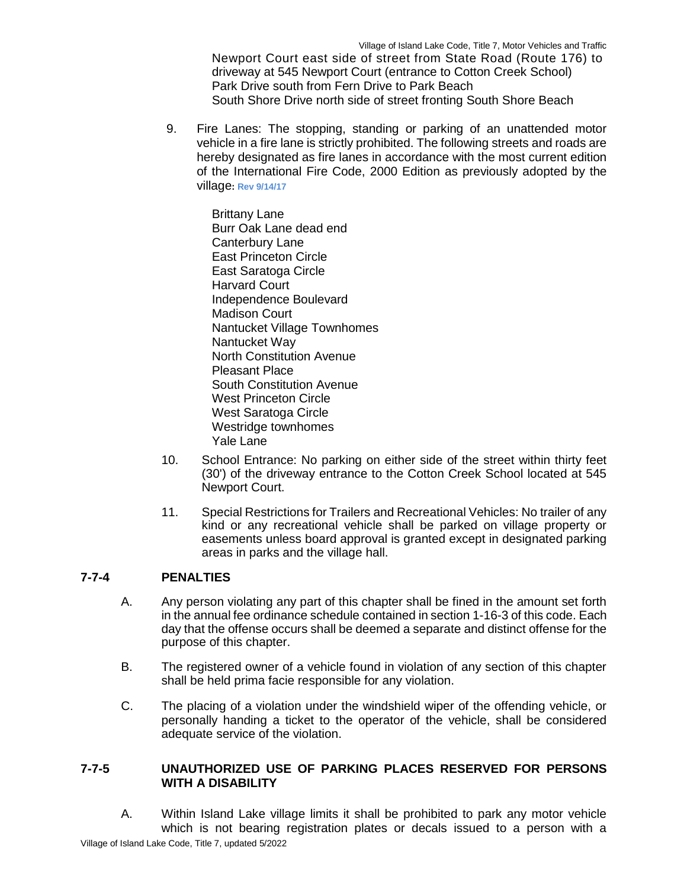Newport Court east side of street from State Road (Route 176) to driveway at 545 Newport Court (entrance to Cotton Creek School) Park Drive south from Fern Drive to Park Beach South Shore Drive north side of street fronting South Shore Beach

9. Fire Lanes: The stopping, standing or parking of an unattended motor vehicle in a fire lane is strictly prohibited. The following streets and roads are hereby designated as fire lanes in accordance with the most current edition of the International Fire Code, 2000 Edition as previously adopted by the village**: Rev 9/14/17**

> Brittany Lane Burr Oak Lane dead end Canterbury Lane East Princeton Circle East Saratoga Circle Harvard Court Independence Boulevard Madison Court Nantucket Village Townhomes Nantucket Way North Constitution Avenue Pleasant Place South Constitution Avenue West Princeton Circle West Saratoga Circle Westridge townhomes Yale Lane

- 10. School Entrance: No parking on either side of the street within thirty feet (30') of the driveway entrance to the Cotton Creek School located at 545 Newport Court.
- 11. Special Restrictions for Trailers and Recreational Vehicles: No trailer of any kind or any recreational vehicle shall be parked on village property or easements unless board approval is granted except in designated parking areas in parks and the village hall.

# **7-7-4 PENALTIES**

- A. Any person violating any part of this chapter shall be fined in the amount set forth in the annual fee ordinance schedule contained in section 1-16-3 of this code. Each day that the offense occurs shall be deemed a separate and distinct offense for the purpose of this chapter.
- B. The registered owner of a vehicle found in violation of any section of this chapter shall be held prima facie responsible for any violation.
- C. The placing of a violation under the windshield wiper of the offending vehicle, or personally handing a ticket to the operator of the vehicle, shall be considered adequate service of the violation.

# **7-7-5 UNAUTHORIZED USE OF PARKING PLACES RESERVED FOR PERSONS WITH A DISABILITY**

A. Within Island Lake village limits it shall be prohibited to park any motor vehicle which is not bearing registration plates or decals issued to a person with a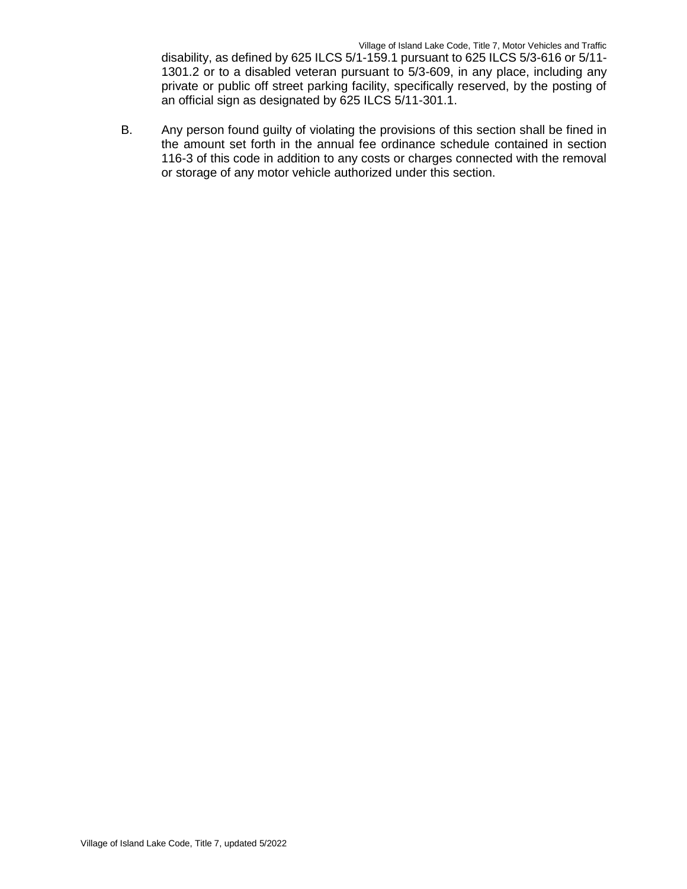disability, as defined by 625 ILCS 5/1-159.1 pursuant to 625 ILCS 5/3-616 or 5/11- 1301.2 or to a disabled veteran pursuant to 5/3-609, in any place, including any private or public off street parking facility, specifically reserved, by the posting of an official sign as designated by 625 ILCS 5/11-301.1.

B. Any person found guilty of violating the provisions of this section shall be fined in the amount set forth in the annual fee ordinance schedule contained in section 116-3 of this code in addition to any costs or charges connected with the removal or storage of any motor vehicle authorized under this section.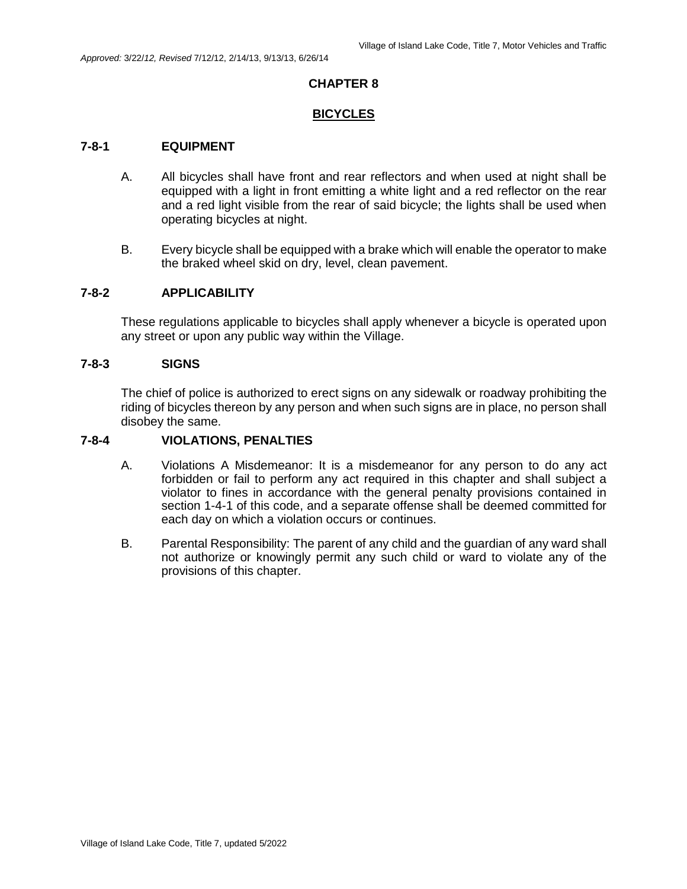#### **BICYCLES**

#### **7-8-1 EQUIPMENT**

- A. All bicycles shall have front and rear reflectors and when used at night shall be equipped with a light in front emitting a white light and a red reflector on the rear and a red light visible from the rear of said bicycle; the lights shall be used when operating bicycles at night.
- B. Every bicycle shall be equipped with a brake which will enable the operator to make the braked wheel skid on dry, level, clean pavement.

### **7-8-2 APPLICABILITY**

These regulations applicable to bicycles shall apply whenever a bicycle is operated upon any street or upon any public way within the Village.

#### **7-8-3 SIGNS**

The chief of police is authorized to erect signs on any sidewalk or roadway prohibiting the riding of bicycles thereon by any person and when such signs are in place, no person shall disobey the same.

### **7-8-4 VIOLATIONS, PENALTIES**

- A. Violations A Misdemeanor: It is a misdemeanor for any person to do any act forbidden or fail to perform any act required in this chapter and shall subject a violator to fines in accordance with the general penalty provisions contained in section 1-4-1 of this code, and a separate offense shall be deemed committed for each day on which a violation occurs or continues.
- B. Parental Responsibility: The parent of any child and the guardian of any ward shall not authorize or knowingly permit any such child or ward to violate any of the provisions of this chapter.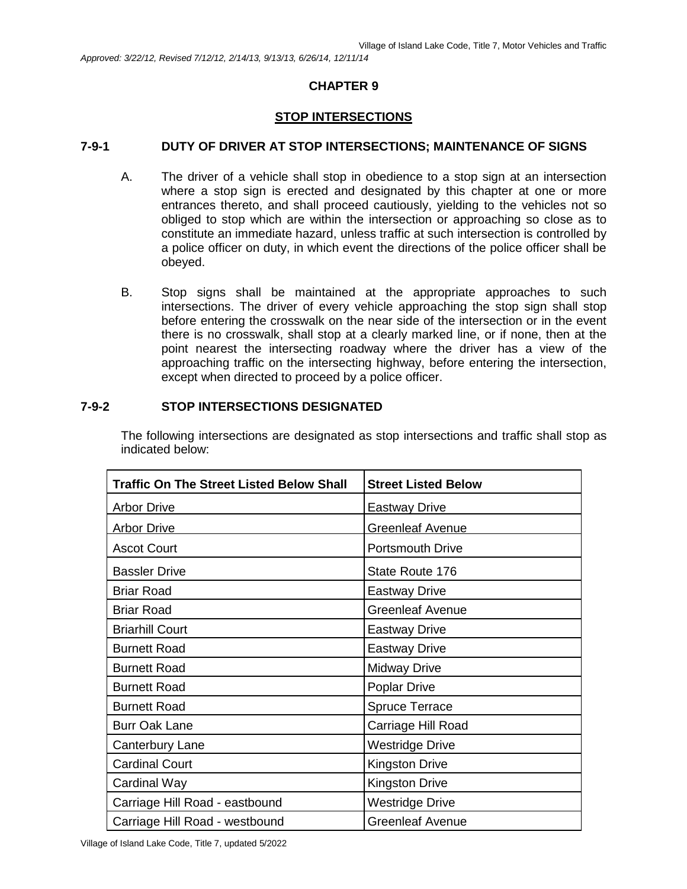### **STOP INTERSECTIONS**

### **7-9-1 DUTY OF DRIVER AT STOP INTERSECTIONS; MAINTENANCE OF SIGNS**

- A. The driver of a vehicle shall stop in obedience to a stop sign at an intersection where a stop sign is erected and designated by this chapter at one or more entrances thereto, and shall proceed cautiously, yielding to the vehicles not so obliged to stop which are within the intersection or approaching so close as to constitute an immediate hazard, unless traffic at such intersection is controlled by a police officer on duty, in which event the directions of the police officer shall be obeyed.
- B. Stop signs shall be maintained at the appropriate approaches to such intersections. The driver of every vehicle approaching the stop sign shall stop before entering the crosswalk on the near side of the intersection or in the event there is no crosswalk, shall stop at a clearly marked line, or if none, then at the point nearest the intersecting roadway where the driver has a view of the approaching traffic on the intersecting highway, before entering the intersection, except when directed to proceed by a police officer.

#### **7-9-2 STOP INTERSECTIONS DESIGNATED**

The following intersections are designated as stop intersections and traffic shall stop as indicated below:

| <b>Traffic On The Street Listed Below Shall</b> | <b>Street Listed Below</b> |
|-------------------------------------------------|----------------------------|
| <b>Arbor Drive</b>                              | <b>Eastway Drive</b>       |
| <b>Arbor Drive</b>                              | <b>Greenleaf Avenue</b>    |
| <b>Ascot Court</b>                              | <b>Portsmouth Drive</b>    |
| <b>Bassler Drive</b>                            | State Route 176            |
| <b>Briar Road</b>                               | <b>Eastway Drive</b>       |
| <b>Briar Road</b>                               | <b>Greenleaf Avenue</b>    |
| <b>Briarhill Court</b>                          | <b>Eastway Drive</b>       |
| <b>Burnett Road</b>                             | <b>Eastway Drive</b>       |
| <b>Burnett Road</b>                             | <b>Midway Drive</b>        |
| <b>Burnett Road</b>                             | <b>Poplar Drive</b>        |
| <b>Burnett Road</b>                             | <b>Spruce Terrace</b>      |
| <b>Burr Oak Lane</b>                            | Carriage Hill Road         |
| Canterbury Lane                                 | Westridge Drive            |
| <b>Cardinal Court</b>                           | <b>Kingston Drive</b>      |
| Cardinal Way                                    | <b>Kingston Drive</b>      |
| Carriage Hill Road - eastbound                  | <b>Westridge Drive</b>     |
| Carriage Hill Road - westbound                  | <b>Greenleaf Avenue</b>    |

Village of Island Lake Code, Title 7, updated 5/2022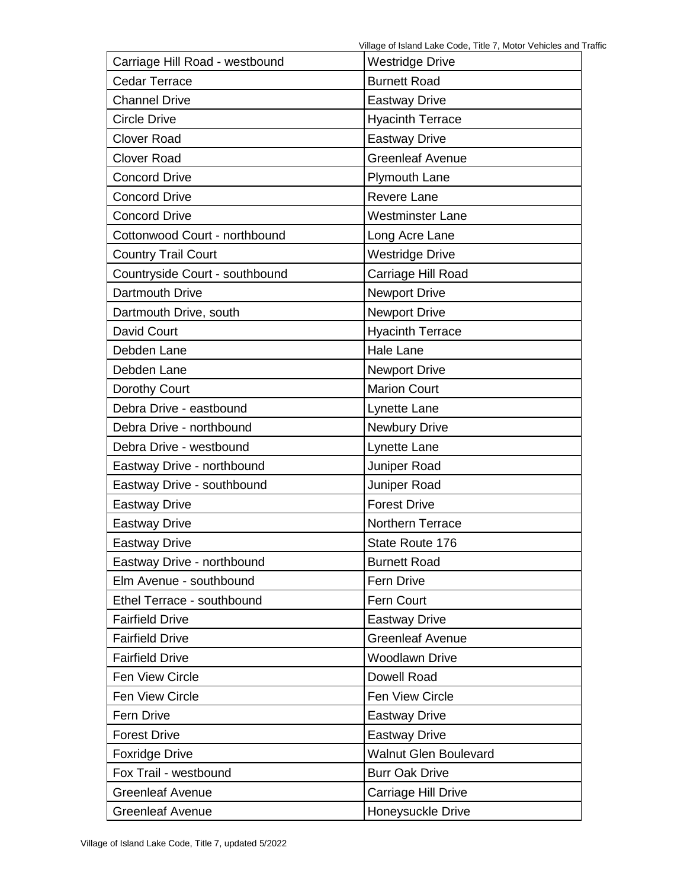| Carriage Hill Road - westbound | <b>Westridge Drive</b>       |
|--------------------------------|------------------------------|
| <b>Cedar Terrace</b>           | <b>Burnett Road</b>          |
| <b>Channel Drive</b>           | <b>Eastway Drive</b>         |
| <b>Circle Drive</b>            | <b>Hyacinth Terrace</b>      |
| <b>Clover Road</b>             | <b>Eastway Drive</b>         |
| <b>Clover Road</b>             | <b>Greenleaf Avenue</b>      |
| <b>Concord Drive</b>           | <b>Plymouth Lane</b>         |
| <b>Concord Drive</b>           | <b>Revere Lane</b>           |
| <b>Concord Drive</b>           | <b>Westminster Lane</b>      |
| Cottonwood Court - northbound  | Long Acre Lane               |
| <b>Country Trail Court</b>     | <b>Westridge Drive</b>       |
| Countryside Court - southbound | Carriage Hill Road           |
| Dartmouth Drive                | <b>Newport Drive</b>         |
| Dartmouth Drive, south         | <b>Newport Drive</b>         |
| David Court                    | <b>Hyacinth Terrace</b>      |
| Debden Lane                    | <b>Hale Lane</b>             |
| Debden Lane                    | <b>Newport Drive</b>         |
| Dorothy Court                  | <b>Marion Court</b>          |
| Debra Drive - eastbound        | Lynette Lane                 |
| Debra Drive - northbound       | Newbury Drive                |
| Debra Drive - westbound        | Lynette Lane                 |
| Eastway Drive - northbound     | Juniper Road                 |
| Eastway Drive - southbound     | Juniper Road                 |
| <b>Eastway Drive</b>           | <b>Forest Drive</b>          |
| <b>Eastway Drive</b>           | Northern Terrace             |
| <b>Eastway Drive</b>           | State Route 176              |
| Eastway Drive - northbound     | <b>Burnett Road</b>          |
| Elm Avenue - southbound        | Fern Drive                   |
| Ethel Terrace - southbound     | Fern Court                   |
| <b>Fairfield Drive</b>         | <b>Eastway Drive</b>         |
| <b>Fairfield Drive</b>         | <b>Greenleaf Avenue</b>      |
| <b>Fairfield Drive</b>         | <b>Woodlawn Drive</b>        |
| Fen View Circle                | <b>Dowell Road</b>           |
| Fen View Circle                | Fen View Circle              |
| Fern Drive                     | <b>Eastway Drive</b>         |
| <b>Forest Drive</b>            | <b>Eastway Drive</b>         |
| <b>Foxridge Drive</b>          | <b>Walnut Glen Boulevard</b> |
| Fox Trail - westbound          | <b>Burr Oak Drive</b>        |
| <b>Greenleaf Avenue</b>        | Carriage Hill Drive          |
| <b>Greenleaf Avenue</b>        | Honeysuckle Drive            |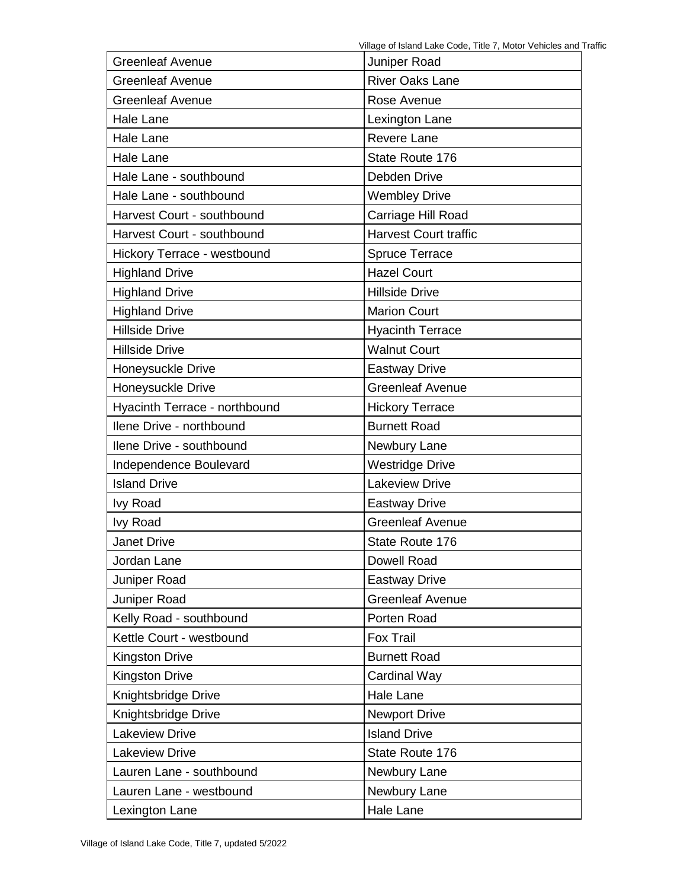| <b>Greenleaf Avenue</b>       | Juniper Road                 |  |
|-------------------------------|------------------------------|--|
| <b>Greenleaf Avenue</b>       | <b>River Oaks Lane</b>       |  |
| <b>Greenleaf Avenue</b>       | Rose Avenue                  |  |
| Hale Lane                     | Lexington Lane               |  |
| <b>Hale Lane</b>              | <b>Revere Lane</b>           |  |
| Hale Lane                     | State Route 176              |  |
| Hale Lane - southbound        | Debden Drive                 |  |
| Hale Lane - southbound        | <b>Wembley Drive</b>         |  |
| Harvest Court - southbound    | Carriage Hill Road           |  |
| Harvest Court - southbound    | <b>Harvest Court traffic</b> |  |
| Hickory Terrace - westbound   | <b>Spruce Terrace</b>        |  |
| <b>Highland Drive</b>         | <b>Hazel Court</b>           |  |
| <b>Highland Drive</b>         | <b>Hillside Drive</b>        |  |
| <b>Highland Drive</b>         | <b>Marion Court</b>          |  |
| <b>Hillside Drive</b>         | <b>Hyacinth Terrace</b>      |  |
| <b>Hillside Drive</b>         | <b>Walnut Court</b>          |  |
| Honeysuckle Drive             | <b>Eastway Drive</b>         |  |
| Honeysuckle Drive             | <b>Greenleaf Avenue</b>      |  |
| Hyacinth Terrace - northbound | <b>Hickory Terrace</b>       |  |
| Ilene Drive - northbound      | <b>Burnett Road</b>          |  |
|                               |                              |  |
| Ilene Drive - southbound      | Newbury Lane                 |  |
| Independence Boulevard        | <b>Westridge Drive</b>       |  |
| <b>Island Drive</b>           | <b>Lakeview Drive</b>        |  |
| <b>Ivy Road</b>               | <b>Eastway Drive</b>         |  |
| <b>Ivy Road</b>               | <b>Greenleaf Avenue</b>      |  |
| <b>Janet Drive</b>            | State Route 176              |  |
| Jordan Lane                   | <b>Dowell Road</b>           |  |
| Juniper Road                  | <b>Eastway Drive</b>         |  |
| Juniper Road                  | <b>Greenleaf Avenue</b>      |  |
| Kelly Road - southbound       | Porten Road                  |  |
| Kettle Court - westbound      | <b>Fox Trail</b>             |  |
| <b>Kingston Drive</b>         | <b>Burnett Road</b>          |  |
| <b>Kingston Drive</b>         | Cardinal Way                 |  |
| Knightsbridge Drive           | <b>Hale Lane</b>             |  |
| Knightsbridge Drive           | <b>Newport Drive</b>         |  |
| <b>Lakeview Drive</b>         | <b>Island Drive</b>          |  |
| <b>Lakeview Drive</b>         | State Route 176              |  |
| Lauren Lane - southbound      | Newbury Lane                 |  |
| Lauren Lane - westbound       | Newbury Lane                 |  |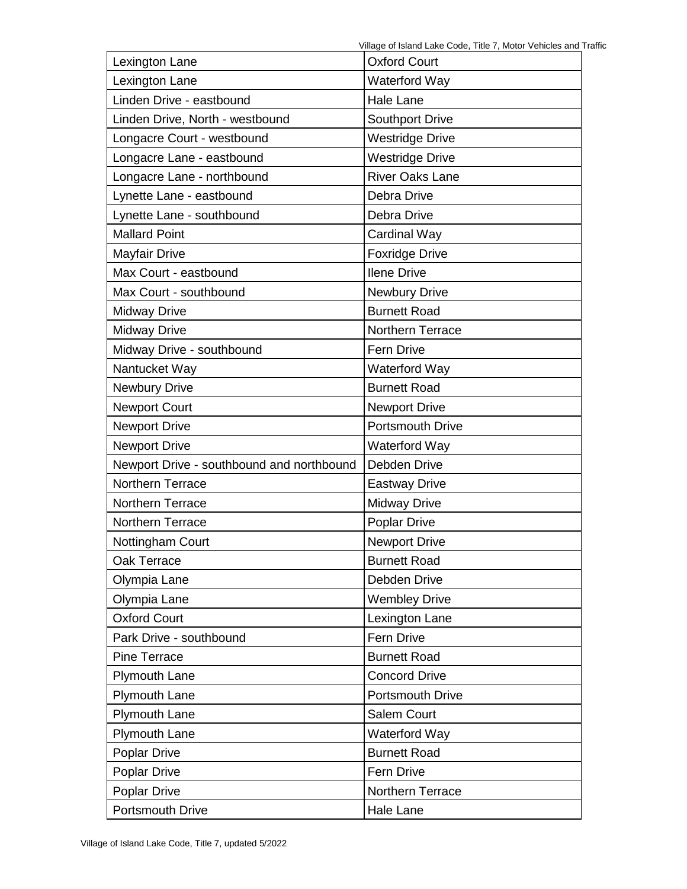| Lexington Lane                            | <b>Oxford Court</b>     |
|-------------------------------------------|-------------------------|
| Lexington Lane                            | Waterford Way           |
| Linden Drive - eastbound                  | <b>Hale Lane</b>        |
| Linden Drive, North - westbound           | <b>Southport Drive</b>  |
| Longacre Court - westbound                | <b>Westridge Drive</b>  |
| Longacre Lane - eastbound                 | <b>Westridge Drive</b>  |
| Longacre Lane - northbound                | <b>River Oaks Lane</b>  |
| Lynette Lane - eastbound                  | Debra Drive             |
| Lynette Lane - southbound                 | Debra Drive             |
| <b>Mallard Point</b>                      | Cardinal Way            |
| <b>Mayfair Drive</b>                      | <b>Foxridge Drive</b>   |
| Max Court - eastbound                     | <b>Ilene Drive</b>      |
| Max Court - southbound                    | Newbury Drive           |
| <b>Midway Drive</b>                       | <b>Burnett Road</b>     |
| <b>Midway Drive</b>                       | Northern Terrace        |
| Midway Drive - southbound                 | <b>Fern Drive</b>       |
| Nantucket Way                             | <b>Waterford Way</b>    |
| <b>Newbury Drive</b>                      | <b>Burnett Road</b>     |
| <b>Newport Court</b>                      | <b>Newport Drive</b>    |
| <b>Newport Drive</b>                      | <b>Portsmouth Drive</b> |
| <b>Newport Drive</b>                      | <b>Waterford Way</b>    |
| Newport Drive - southbound and northbound | Debden Drive            |
| <b>Northern Terrace</b>                   | <b>Eastway Drive</b>    |
| Northern Terrace                          | <b>Midway Drive</b>     |
| Northern Terrace                          | Poplar Drive            |
| Nottingham Court                          | <b>Newport Drive</b>    |
| Oak Terrace                               | <b>Burnett Road</b>     |
| Olympia Lane                              | Debden Drive            |
| Olympia Lane                              | <b>Wembley Drive</b>    |
| <b>Oxford Court</b>                       | Lexington Lane          |
| Park Drive - southbound                   | Fern Drive              |
| <b>Pine Terrace</b>                       | <b>Burnett Road</b>     |
| <b>Plymouth Lane</b>                      | <b>Concord Drive</b>    |
| <b>Plymouth Lane</b>                      | Portsmouth Drive        |
| Plymouth Lane                             | Salem Court             |
| <b>Plymouth Lane</b>                      | Waterford Way           |
| <b>Poplar Drive</b>                       | <b>Burnett Road</b>     |
| <b>Poplar Drive</b>                       | Fern Drive              |
| Poplar Drive                              | Northern Terrace        |
| <b>Portsmouth Drive</b>                   | Hale Lane               |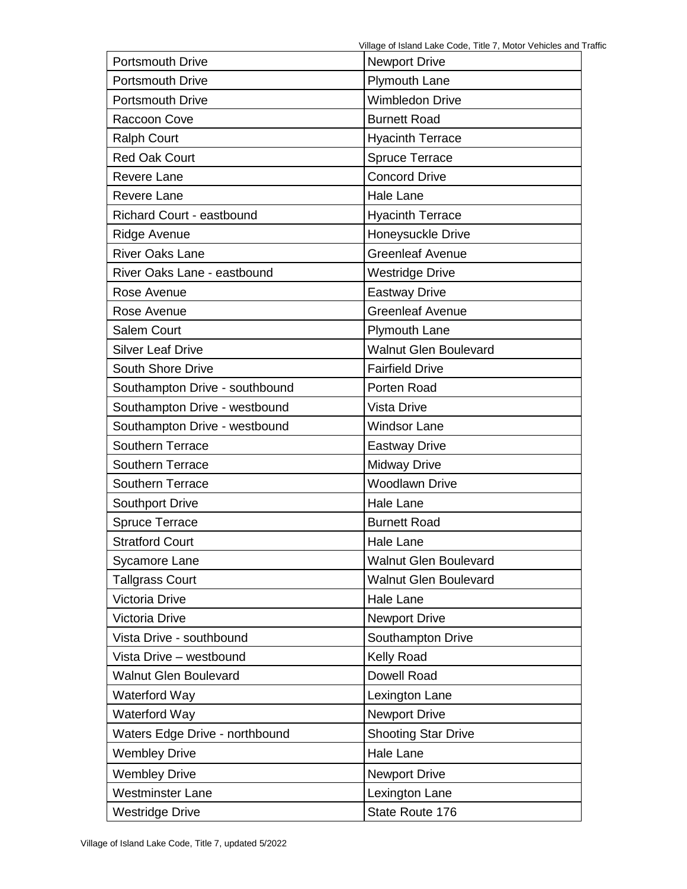| <b>Portsmouth Drive</b>          | <b>Newport Drive</b>         |  |
|----------------------------------|------------------------------|--|
| <b>Portsmouth Drive</b>          | Plymouth Lane                |  |
| <b>Portsmouth Drive</b>          | <b>Wimbledon Drive</b>       |  |
| Raccoon Cove                     | <b>Burnett Road</b>          |  |
| <b>Ralph Court</b>               | <b>Hyacinth Terrace</b>      |  |
| <b>Red Oak Court</b>             | <b>Spruce Terrace</b>        |  |
| <b>Revere Lane</b>               | <b>Concord Drive</b>         |  |
| <b>Revere Lane</b>               | <b>Hale Lane</b>             |  |
| <b>Richard Court - eastbound</b> | <b>Hyacinth Terrace</b>      |  |
| <b>Ridge Avenue</b>              | Honeysuckle Drive            |  |
| <b>River Oaks Lane</b>           | <b>Greenleaf Avenue</b>      |  |
| River Oaks Lane - eastbound      | <b>Westridge Drive</b>       |  |
| Rose Avenue                      | <b>Eastway Drive</b>         |  |
| Rose Avenue                      | <b>Greenleaf Avenue</b>      |  |
| Salem Court                      | <b>Plymouth Lane</b>         |  |
| <b>Silver Leaf Drive</b>         | <b>Walnut Glen Boulevard</b> |  |
| South Shore Drive                | <b>Fairfield Drive</b>       |  |
| Southampton Drive - southbound   | Porten Road                  |  |
| Southampton Drive - westbound    | <b>Vista Drive</b>           |  |
| Southampton Drive - westbound    | <b>Windsor Lane</b>          |  |
| Southern Terrace                 | <b>Eastway Drive</b>         |  |
| Southern Terrace                 | <b>Midway Drive</b>          |  |
| <b>Southern Terrace</b>          | <b>Woodlawn Drive</b>        |  |
| <b>Southport Drive</b>           | Hale Lane                    |  |
| <b>Spruce Terrace</b>            | <b>Burnett Road</b>          |  |
| <b>Stratford Court</b>           | <b>Hale Lane</b>             |  |
| Sycamore Lane                    | <b>Walnut Glen Boulevard</b> |  |
| <b>Tallgrass Court</b>           | <b>Walnut Glen Boulevard</b> |  |
| Victoria Drive                   | <b>Hale Lane</b>             |  |
| Victoria Drive                   | <b>Newport Drive</b>         |  |
| Vista Drive - southbound         | Southampton Drive            |  |
| Vista Drive - westbound          | Kelly Road                   |  |
| <b>Walnut Glen Boulevard</b>     | Dowell Road                  |  |
| Waterford Way                    | Lexington Lane               |  |
| Waterford Way                    | <b>Newport Drive</b>         |  |
| Waters Edge Drive - northbound   | <b>Shooting Star Drive</b>   |  |
| <b>Wembley Drive</b>             | Hale Lane                    |  |
| <b>Wembley Drive</b>             | <b>Newport Drive</b>         |  |
| <b>Westminster Lane</b>          | Lexington Lane               |  |
| <b>Westridge Drive</b>           | State Route 176              |  |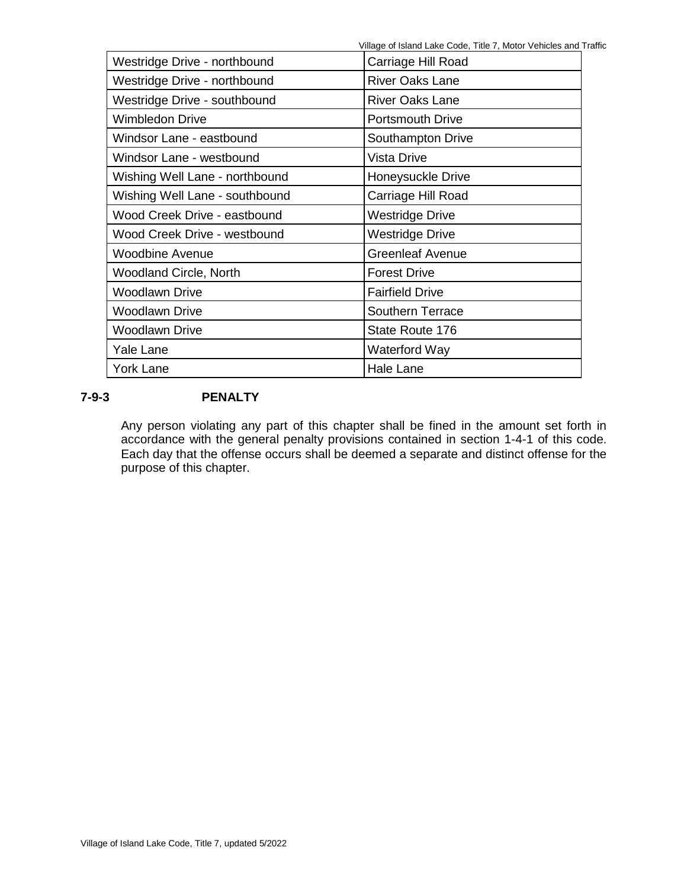Village of Island Lake Code, Title 7, Motor Vehicles and Traffic

| Westridge Drive - northbound   | Carriage Hill Road      |
|--------------------------------|-------------------------|
| Westridge Drive - northbound   | <b>River Oaks Lane</b>  |
| Westridge Drive - southbound   | <b>River Oaks Lane</b>  |
| <b>Wimbledon Drive</b>         | <b>Portsmouth Drive</b> |
| Windsor Lane - eastbound       | Southampton Drive       |
| Windsor Lane - westbound       | Vista Drive             |
| Wishing Well Lane - northbound | Honeysuckle Drive       |
| Wishing Well Lane - southbound | Carriage Hill Road      |
| Wood Creek Drive - eastbound   | Westridge Drive         |
| Wood Creek Drive - westbound   | <b>Westridge Drive</b>  |
| <b>Woodbine Avenue</b>         | <b>Greenleaf Avenue</b> |
| <b>Woodland Circle, North</b>  | <b>Forest Drive</b>     |
| <b>Woodlawn Drive</b>          | <b>Fairfield Drive</b>  |
| <b>Woodlawn Drive</b>          | <b>Southern Terrace</b> |
| <b>Woodlawn Drive</b>          | State Route 176         |
| Yale Lane                      | Waterford Way           |
| <b>York Lane</b>               | Hale Lane               |

# **7-9-3 PENALTY**

Any person violating any part of this chapter shall be fined in the amount set forth in accordance with the general penalty provisions contained in section 1-4-1 of this code. Each day that the offense occurs shall be deemed a separate and distinct offense for the purpose of this chapter.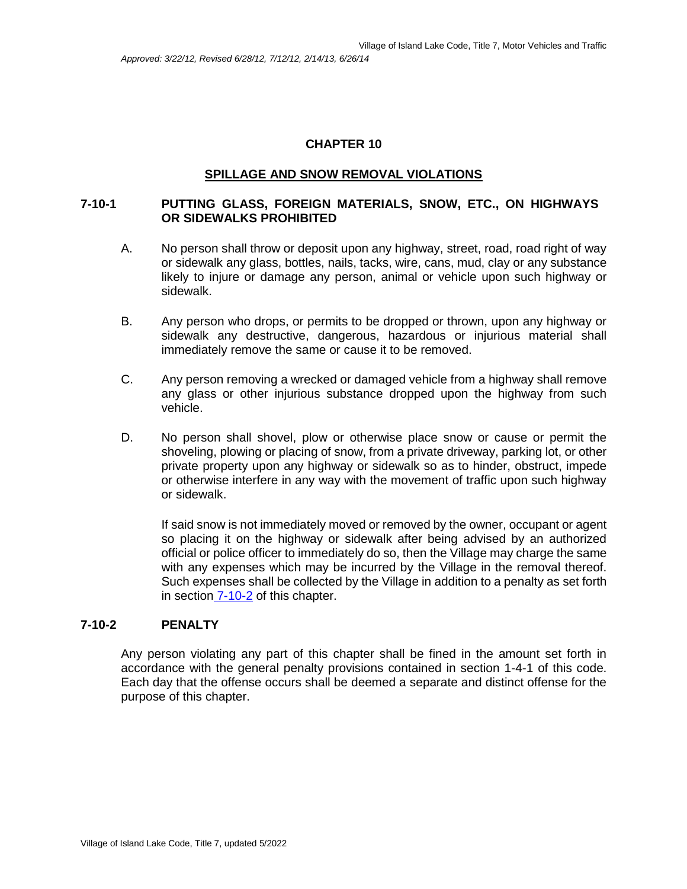### **SPILLAGE AND SNOW REMOVAL VIOLATIONS**

### **7-10-1 PUTTING GLASS, FOREIGN MATERIALS, SNOW, ETC., ON HIGHWAYS OR SIDEWALKS PROHIBITED**

- A. No person shall throw or deposit upon any highway, street, road, road right of way or sidewalk any glass, bottles, nails, tacks, wire, cans, mud, clay or any substance likely to injure or damage any person, animal or vehicle upon such highway or sidewalk.
- B. Any person who drops, or permits to be dropped or thrown, upon any highway or sidewalk any destructive, dangerous, hazardous or injurious material shall immediately remove the same or cause it to be removed.
- C. Any person removing a wrecked or damaged vehicle from a highway shall remove any glass or other injurious substance dropped upon the highway from such vehicle.
- D. No person shall shovel, plow or otherwise place snow or cause or permit the shoveling, plowing or placing of snow, from a private driveway, parking lot, or other private property upon any highway or sidewalk so as to hinder, obstruct, impede or otherwise interfere in any way with the movement of traffic upon such highway or sidewalk.

If said snow is not immediately moved or removed by the owner, occupant or agent so placing it on the highway or sidewalk after being advised by an authorized official or police officer to immediately do so, then the Village may charge the same with any expenses which may be incurred by the Village in the removal thereof. Such expenses shall be collected by the Village in addition to a penalty as set forth in section 7-10-2 of this chapter.

# **7-10-2 PENALTY**

Any person violating any part of this chapter shall be fined in the amount set forth in accordance with the general penalty provisions contained in section 1-4-1 of this code. Each day that the offense occurs shall be deemed a separate and distinct offense for the purpose of this chapter.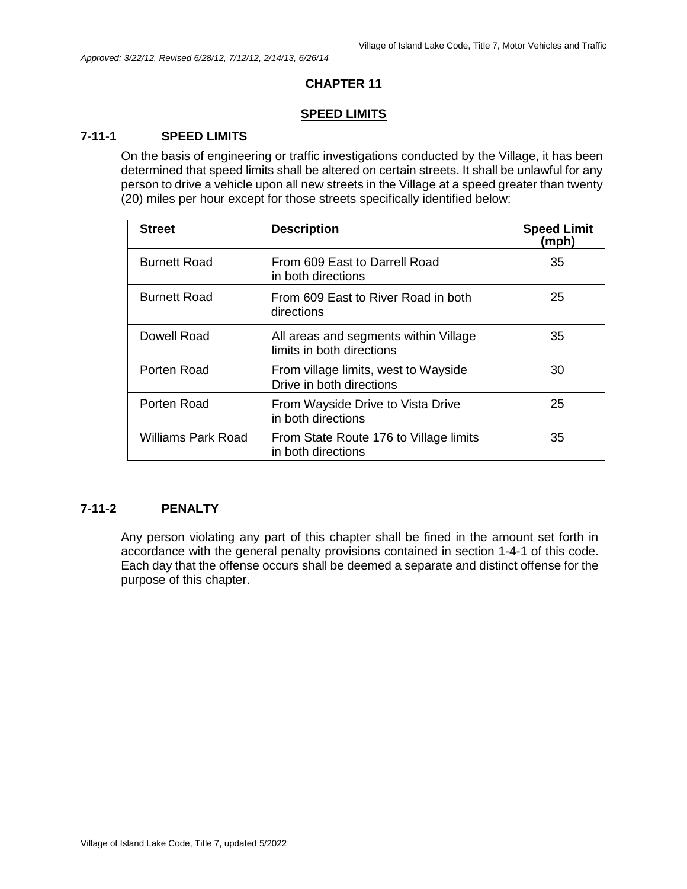#### **SPEED LIMITS**

# **7-11-1 SPEED LIMITS**

On the basis of engineering or traffic investigations conducted by the Village, it has been determined that speed limits shall be altered on certain streets. It shall be unlawful for any person to drive a vehicle upon all new streets in the Village at a speed greater than twenty (20) miles per hour except for those streets specifically identified below:

| <b>Street</b>       | <b>Description</b>                                                 | <b>Speed Limit</b><br>(mph) |
|---------------------|--------------------------------------------------------------------|-----------------------------|
| <b>Burnett Road</b> | From 609 East to Darrell Road<br>in both directions                | 35                          |
| <b>Burnett Road</b> | From 609 East to River Road in both<br>directions                  | 25                          |
| Dowell Road         | All areas and segments within Village<br>limits in both directions | 35                          |
| Porten Road         | From village limits, west to Wayside<br>Drive in both directions   | 30                          |
| Porten Road         | From Wayside Drive to Vista Drive<br>in both directions            | 25                          |
| Williams Park Road  | From State Route 176 to Village limits<br>in both directions       | 35                          |

### **7-11-2 PENALTY**

Any person violating any part of this chapter shall be fined in the amount set forth in accordance with the general penalty provisions contained in section 1-4-1 of this code. Each day that the offense occurs shall be deemed a separate and distinct offense for the purpose of this chapter.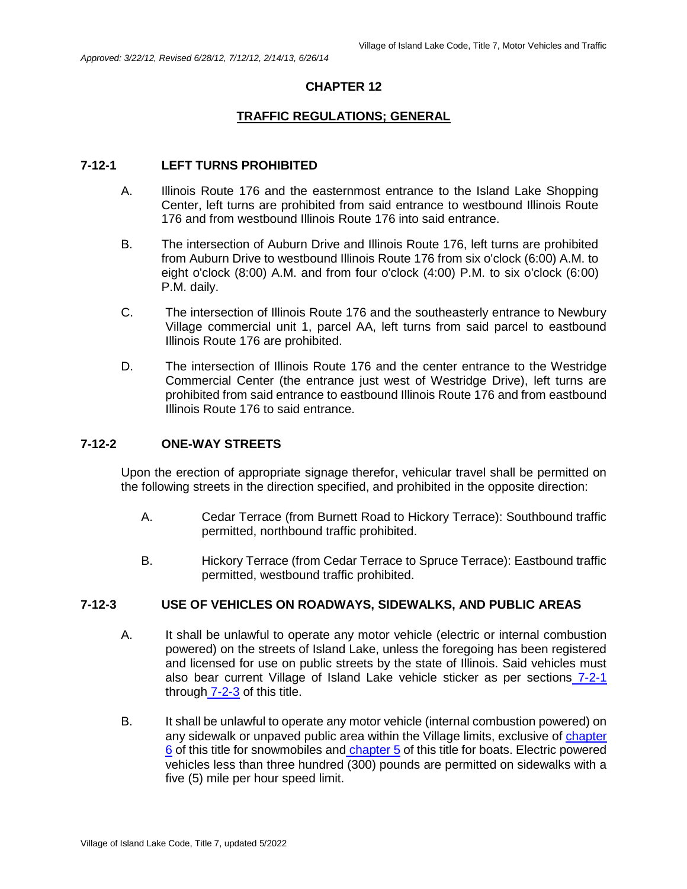# **TRAFFIC REGULATIONS; GENERAL**

#### **7-12-1 LEFT TURNS PROHIBITED**

- A. Illinois Route 176 and the easternmost entrance to the Island Lake Shopping Center, left turns are prohibited from said entrance to westbound Illinois Route 176 and from westbound Illinois Route 176 into said entrance.
- B. The intersection of Auburn Drive and Illinois Route 176, left turns are prohibited from Auburn Drive to westbound Illinois Route 176 from six o'clock (6:00) A.M. to eight o'clock (8:00) A.M. and from four o'clock (4:00) P.M. to six o'clock (6:00) P.M. daily.
- C. The intersection of Illinois Route 176 and the southeasterly entrance to Newbury Village commercial unit 1, parcel AA, left turns from said parcel to eastbound Illinois Route 176 are prohibited.
- D. The intersection of Illinois Route 176 and the center entrance to the Westridge Commercial Center (the entrance just west of Westridge Drive), left turns are prohibited from said entrance to eastbound Illinois Route 176 and from eastbound Illinois Route 176 to said entrance.

#### **7-12-2 ONE-WAY STREETS**

Upon the erection of appropriate signage therefor, vehicular travel shall be permitted on the following streets in the direction specified, and prohibited in the opposite direction:

- A. Cedar Terrace (from Burnett Road to Hickory Terrace): Southbound traffic permitted, northbound traffic prohibited.
- B. Hickory Terrace (from Cedar Terrace to Spruce Terrace): Eastbound traffic permitted, westbound traffic prohibited.

### **7-12-3 USE OF VEHICLES ON ROADWAYS, SIDEWALKS, AND PUBLIC AREAS**

- A. It shall be unlawful to operate any motor vehicle (electric or internal combustion powered) on the streets of Island Lake, unless the foregoing has been registered and licensed for use on public streets by the state of Illinois. Said vehicles must also bear current Village of Island Lake vehicle sticker as per sections 7-2-1 through 7-2-3 of this title.
- B. It shall be unlawful to operate any motor vehicle (internal combustion powered) on any sidewalk or unpaved public area within the Village limits, exclusive of chapter 6 of this title for snowmobiles and chapter 5 of this title for boats. Electric powered vehicles less than three hundred (300) pounds are permitted on sidewalks with a five (5) mile per hour speed limit.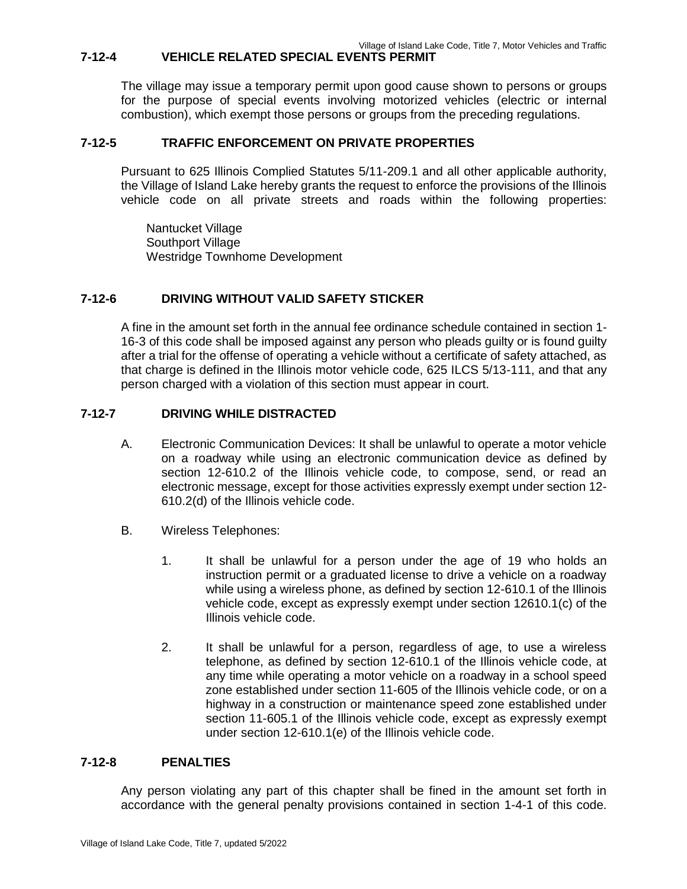# **7-12-4 VEHICLE RELATED SPECIAL EVENTS PERMIT**

The village may issue a temporary permit upon good cause shown to persons or groups for the purpose of special events involving motorized vehicles (electric or internal combustion), which exempt those persons or groups from the preceding regulations.

# **7-12-5 TRAFFIC ENFORCEMENT ON PRIVATE PROPERTIES**

Pursuant to 625 Illinois Complied Statutes 5/11-209.1 and all other applicable authority, the Village of Island Lake hereby grants the request to enforce the provisions of the Illinois vehicle code on all private streets and roads within the following properties:

Nantucket Village Southport Village Westridge Townhome Development

# **7-12-6 DRIVING WITHOUT VALID SAFETY STICKER**

A fine in the amount set forth in the annual fee ordinance schedule contained in section 1- 16-3 of this code shall be imposed against any person who pleads guilty or is found guilty after a trial for the offense of operating a vehicle without a certificate of safety attached, as that charge is defined in the Illinois motor vehicle code, 625 ILCS 5/13-111, and that any person charged with a violation of this section must appear in court.

# **7-12-7 DRIVING WHILE DISTRACTED**

- A. Electronic Communication Devices: It shall be unlawful to operate a motor vehicle on a roadway while using an electronic communication device as defined by section 12-610.2 of the Illinois vehicle code, to compose, send, or read an electronic message, except for those activities expressly exempt under section 12- 610.2(d) of the Illinois vehicle code.
- B. Wireless Telephones:
	- 1. It shall be unlawful for a person under the age of 19 who holds an instruction permit or a graduated license to drive a vehicle on a roadway while using a wireless phone, as defined by section 12-610.1 of the Illinois vehicle code, except as expressly exempt under section 12610.1(c) of the Illinois vehicle code.
	- 2. It shall be unlawful for a person, regardless of age, to use a wireless telephone, as defined by section 12-610.1 of the Illinois vehicle code, at any time while operating a motor vehicle on a roadway in a school speed zone established under section 11-605 of the Illinois vehicle code, or on a highway in a construction or maintenance speed zone established under section 11-605.1 of the Illinois vehicle code, except as expressly exempt under section 12-610.1(e) of the Illinois vehicle code.

# **7-12-8 PENALTIES**

Any person violating any part of this chapter shall be fined in the amount set forth in accordance with the general penalty provisions contained in section 1-4-1 of this code.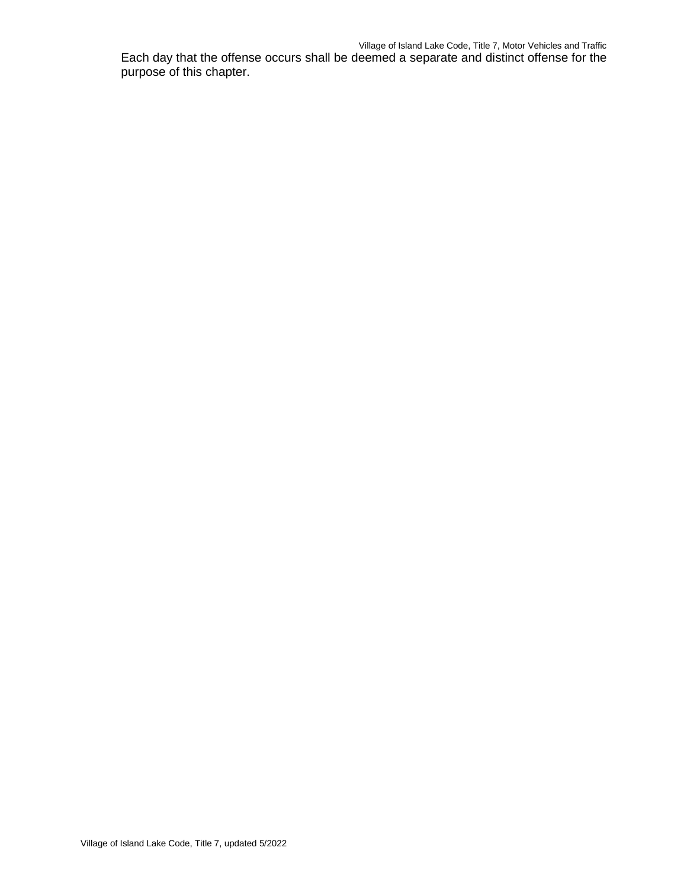Each day that the offense occurs shall be deemed a separate and distinct offense for the purpose of this chapter.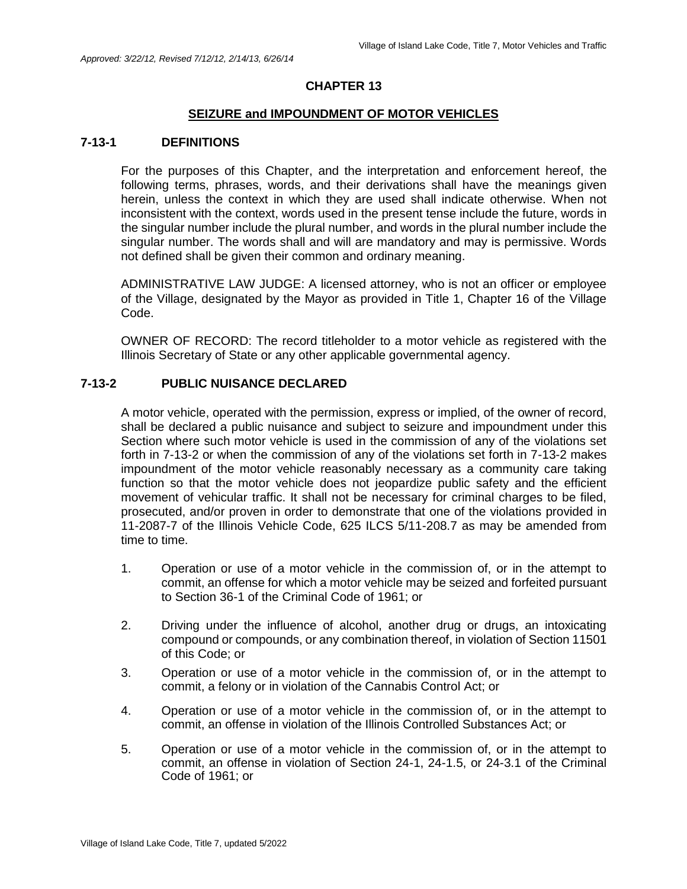#### **SEIZURE and IMPOUNDMENT OF MOTOR VEHICLES**

### **7-13-1 DEFINITIONS**

For the purposes of this Chapter, and the interpretation and enforcement hereof, the following terms, phrases, words, and their derivations shall have the meanings given herein, unless the context in which they are used shall indicate otherwise. When not inconsistent with the context, words used in the present tense include the future, words in the singular number include the plural number, and words in the plural number include the singular number. The words shall and will are mandatory and may is permissive. Words not defined shall be given their common and ordinary meaning.

ADMINISTRATIVE LAW JUDGE: A licensed attorney, who is not an officer or employee of the Village, designated by the Mayor as provided in Title 1, Chapter 16 of the Village Code.

OWNER OF RECORD: The record titleholder to a motor vehicle as registered with the Illinois Secretary of State or any other applicable governmental agency.

### **7-13-2 PUBLIC NUISANCE DECLARED**

A motor vehicle, operated with the permission, express or implied, of the owner of record, shall be declared a public nuisance and subject to seizure and impoundment under this Section where such motor vehicle is used in the commission of any of the violations set forth in 7-13-2 or when the commission of any of the violations set forth in 7-13-2 makes impoundment of the motor vehicle reasonably necessary as a community care taking function so that the motor vehicle does not jeopardize public safety and the efficient movement of vehicular traffic. It shall not be necessary for criminal charges to be filed, prosecuted, and/or proven in order to demonstrate that one of the violations provided in 11-2087-7 of the Illinois Vehicle Code, 625 ILCS 5/11-208.7 as may be amended from time to time.

- 1. Operation or use of a motor vehicle in the commission of, or in the attempt to commit, an offense for which a motor vehicle may be seized and forfeited pursuant to Section 36-1 of the Criminal Code of 1961; or
- 2. Driving under the influence of alcohol, another drug or drugs, an intoxicating compound or compounds, or any combination thereof, in violation of Section 11501 of this Code; or
- 3. Operation or use of a motor vehicle in the commission of, or in the attempt to commit, a felony or in violation of the Cannabis Control Act; or
- 4. Operation or use of a motor vehicle in the commission of, or in the attempt to commit, an offense in violation of the Illinois Controlled Substances Act; or
- 5. Operation or use of a motor vehicle in the commission of, or in the attempt to commit, an offense in violation of Section 24-1, 24-1.5, or 24-3.1 of the Criminal Code of 1961; or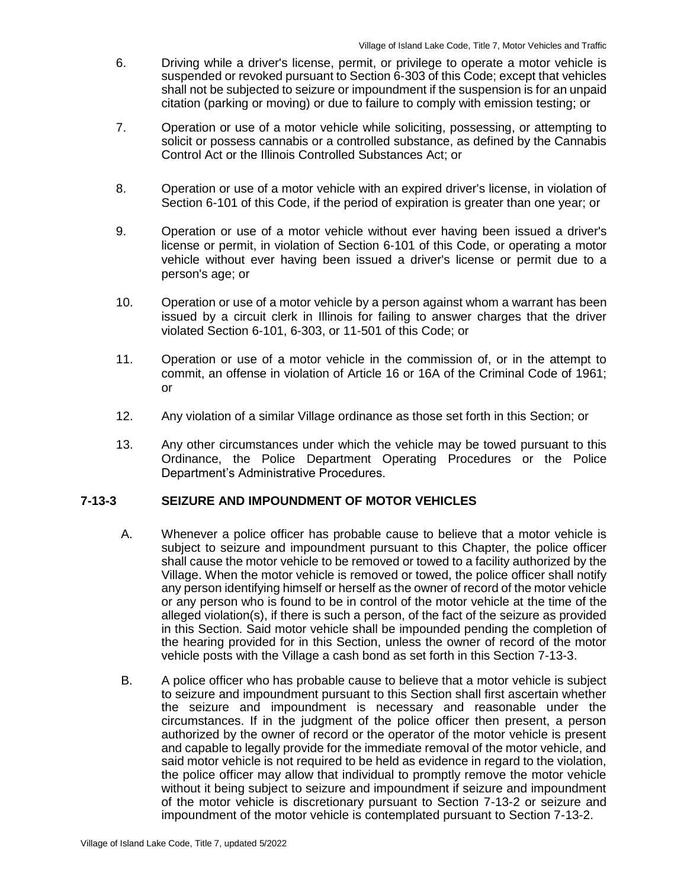- 6. Driving while a driver's license, permit, or privilege to operate a motor vehicle is suspended or revoked pursuant to Section 6-303 of this Code; except that vehicles shall not be subjected to seizure or impoundment if the suspension is for an unpaid citation (parking or moving) or due to failure to comply with emission testing; or
- 7. Operation or use of a motor vehicle while soliciting, possessing, or attempting to solicit or possess cannabis or a controlled substance, as defined by the Cannabis Control Act or the Illinois Controlled Substances Act; or
- 8. Operation or use of a motor vehicle with an expired driver's license, in violation of Section 6-101 of this Code, if the period of expiration is greater than one year; or
- 9. Operation or use of a motor vehicle without ever having been issued a driver's license or permit, in violation of Section 6-101 of this Code, or operating a motor vehicle without ever having been issued a driver's license or permit due to a person's age; or
- 10. Operation or use of a motor vehicle by a person against whom a warrant has been issued by a circuit clerk in Illinois for failing to answer charges that the driver violated Section 6-101, 6-303, or 11-501 of this Code; or
- 11. Operation or use of a motor vehicle in the commission of, or in the attempt to commit, an offense in violation of Article 16 or 16A of the Criminal Code of 1961; or
- 12. Any violation of a similar Village ordinance as those set forth in this Section; or
- 13. Any other circumstances under which the vehicle may be towed pursuant to this Ordinance, the Police Department Operating Procedures or the Police Department's Administrative Procedures.

### **7-13-3 SEIZURE AND IMPOUNDMENT OF MOTOR VEHICLES**

- A. Whenever a police officer has probable cause to believe that a motor vehicle is subject to seizure and impoundment pursuant to this Chapter, the police officer shall cause the motor vehicle to be removed or towed to a facility authorized by the Village. When the motor vehicle is removed or towed, the police officer shall notify any person identifying himself or herself as the owner of record of the motor vehicle or any person who is found to be in control of the motor vehicle at the time of the alleged violation(s), if there is such a person, of the fact of the seizure as provided in this Section. Said motor vehicle shall be impounded pending the completion of the hearing provided for in this Section, unless the owner of record of the motor vehicle posts with the Village a cash bond as set forth in this Section 7-13-3.
- B. A police officer who has probable cause to believe that a motor vehicle is subject to seizure and impoundment pursuant to this Section shall first ascertain whether the seizure and impoundment is necessary and reasonable under the circumstances. If in the judgment of the police officer then present, a person authorized by the owner of record or the operator of the motor vehicle is present and capable to legally provide for the immediate removal of the motor vehicle, and said motor vehicle is not required to be held as evidence in regard to the violation, the police officer may allow that individual to promptly remove the motor vehicle without it being subject to seizure and impoundment if seizure and impoundment of the motor vehicle is discretionary pursuant to Section 7-13-2 or seizure and impoundment of the motor vehicle is contemplated pursuant to Section 7-13-2.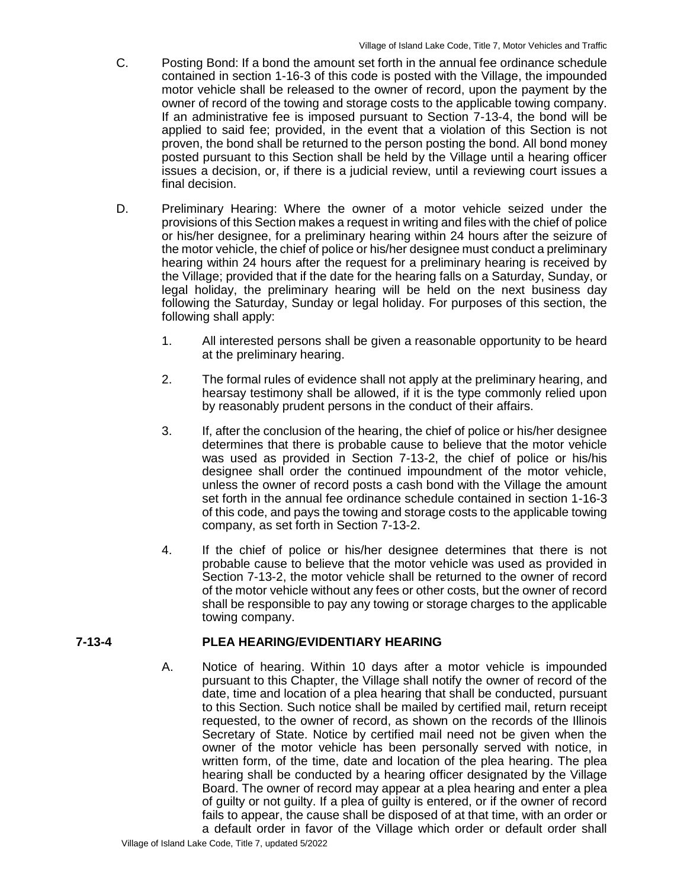- C. Posting Bond: If a bond the amount set forth in the annual fee ordinance schedule contained in section 1-16-3 of this code is posted with the Village, the impounded motor vehicle shall be released to the owner of record, upon the payment by the owner of record of the towing and storage costs to the applicable towing company. If an administrative fee is imposed pursuant to Section 7-13-4, the bond will be applied to said fee; provided, in the event that a violation of this Section is not proven, the bond shall be returned to the person posting the bond. All bond money posted pursuant to this Section shall be held by the Village until a hearing officer issues a decision, or, if there is a judicial review, until a reviewing court issues a final decision.
- D. Preliminary Hearing: Where the owner of a motor vehicle seized under the provisions of this Section makes a request in writing and files with the chief of police or his/her designee, for a preliminary hearing within 24 hours after the seizure of the motor vehicle, the chief of police or his/her designee must conduct a preliminary hearing within 24 hours after the request for a preliminary hearing is received by the Village; provided that if the date for the hearing falls on a Saturday, Sunday, or legal holiday, the preliminary hearing will be held on the next business day following the Saturday, Sunday or legal holiday. For purposes of this section, the following shall apply:
	- 1. All interested persons shall be given a reasonable opportunity to be heard at the preliminary hearing.
	- 2. The formal rules of evidence shall not apply at the preliminary hearing, and hearsay testimony shall be allowed, if it is the type commonly relied upon by reasonably prudent persons in the conduct of their affairs.
	- 3. If, after the conclusion of the hearing, the chief of police or his/her designee determines that there is probable cause to believe that the motor vehicle was used as provided in Section 7-13-2, the chief of police or his/his designee shall order the continued impoundment of the motor vehicle, unless the owner of record posts a cash bond with the Village the amount set forth in the annual fee ordinance schedule contained in section 1-16-3 of this code, and pays the towing and storage costs to the applicable towing company, as set forth in Section 7-13-2.
	- 4. If the chief of police or his/her designee determines that there is not probable cause to believe that the motor vehicle was used as provided in Section 7-13-2, the motor vehicle shall be returned to the owner of record of the motor vehicle without any fees or other costs, but the owner of record shall be responsible to pay any towing or storage charges to the applicable towing company.

# **7-13-4 PLEA HEARING/EVIDENTIARY HEARING**

A. Notice of hearing. Within 10 days after a motor vehicle is impounded pursuant to this Chapter, the Village shall notify the owner of record of the date, time and location of a plea hearing that shall be conducted, pursuant to this Section. Such notice shall be mailed by certified mail, return receipt requested, to the owner of record, as shown on the records of the Illinois Secretary of State. Notice by certified mail need not be given when the owner of the motor vehicle has been personally served with notice, in written form, of the time, date and location of the plea hearing. The plea hearing shall be conducted by a hearing officer designated by the Village Board. The owner of record may appear at a plea hearing and enter a plea of guilty or not guilty. If a plea of guilty is entered, or if the owner of record fails to appear, the cause shall be disposed of at that time, with an order or a default order in favor of the Village which order or default order shall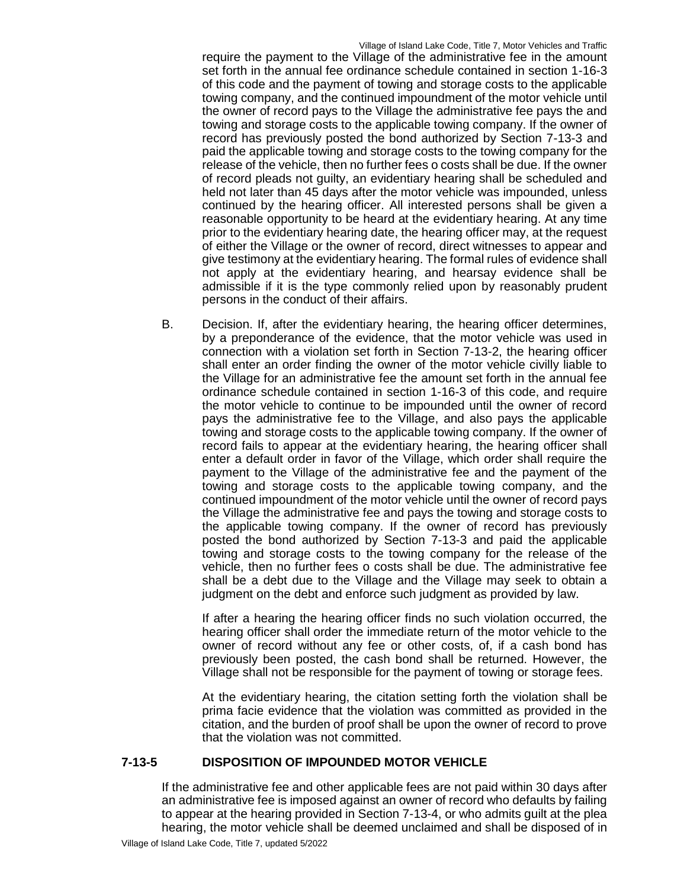require the payment to the Village of the administrative fee in the amount set forth in the annual fee ordinance schedule contained in section 1-16-3 of this code and the payment of towing and storage costs to the applicable towing company, and the continued impoundment of the motor vehicle until the owner of record pays to the Village the administrative fee pays the and towing and storage costs to the applicable towing company. If the owner of record has previously posted the bond authorized by Section 7-13-3 and paid the applicable towing and storage costs to the towing company for the release of the vehicle, then no further fees o costs shall be due. If the owner of record pleads not guilty, an evidentiary hearing shall be scheduled and held not later than 45 days after the motor vehicle was impounded, unless continued by the hearing officer. All interested persons shall be given a reasonable opportunity to be heard at the evidentiary hearing. At any time prior to the evidentiary hearing date, the hearing officer may, at the request of either the Village or the owner of record, direct witnesses to appear and give testimony at the evidentiary hearing. The formal rules of evidence shall not apply at the evidentiary hearing, and hearsay evidence shall be admissible if it is the type commonly relied upon by reasonably prudent persons in the conduct of their affairs.

B. Decision. If, after the evidentiary hearing, the hearing officer determines, by a preponderance of the evidence, that the motor vehicle was used in connection with a violation set forth in Section 7-13-2, the hearing officer shall enter an order finding the owner of the motor vehicle civilly liable to the Village for an administrative fee the amount set forth in the annual fee ordinance schedule contained in section 1-16-3 of this code, and require the motor vehicle to continue to be impounded until the owner of record pays the administrative fee to the Village, and also pays the applicable towing and storage costs to the applicable towing company. If the owner of record fails to appear at the evidentiary hearing, the hearing officer shall enter a default order in favor of the Village, which order shall require the payment to the Village of the administrative fee and the payment of the towing and storage costs to the applicable towing company, and the continued impoundment of the motor vehicle until the owner of record pays the Village the administrative fee and pays the towing and storage costs to the applicable towing company. If the owner of record has previously posted the bond authorized by Section 7-13-3 and paid the applicable towing and storage costs to the towing company for the release of the vehicle, then no further fees o costs shall be due. The administrative fee shall be a debt due to the Village and the Village may seek to obtain a judgment on the debt and enforce such judgment as provided by law.

If after a hearing the hearing officer finds no such violation occurred, the hearing officer shall order the immediate return of the motor vehicle to the owner of record without any fee or other costs, of, if a cash bond has previously been posted, the cash bond shall be returned. However, the Village shall not be responsible for the payment of towing or storage fees.

At the evidentiary hearing, the citation setting forth the violation shall be prima facie evidence that the violation was committed as provided in the citation, and the burden of proof shall be upon the owner of record to prove that the violation was not committed.

### **7-13-5 DISPOSITION OF IMPOUNDED MOTOR VEHICLE**

If the administrative fee and other applicable fees are not paid within 30 days after an administrative fee is imposed against an owner of record who defaults by failing to appear at the hearing provided in Section 7-13-4, or who admits guilt at the plea hearing, the motor vehicle shall be deemed unclaimed and shall be disposed of in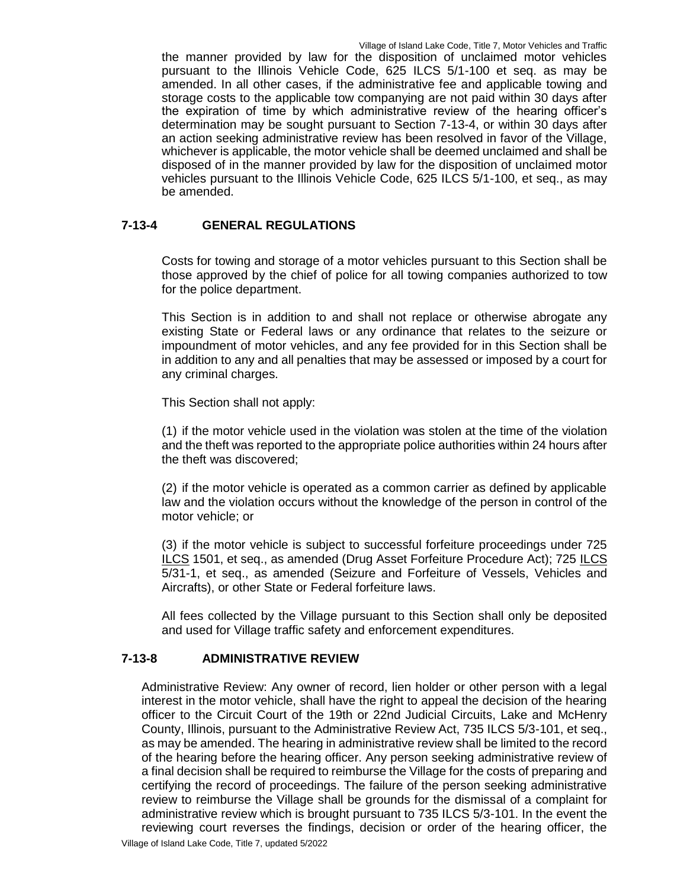the manner provided by law for the disposition of unclaimed motor vehicles pursuant to the Illinois Vehicle Code, 625 ILCS 5/1-100 et seq. as may be amended. In all other cases, if the administrative fee and applicable towing and storage costs to the applicable tow companying are not paid within 30 days after the expiration of time by which administrative review of the hearing officer's determination may be sought pursuant to Section 7-13-4, or within 30 days after an action seeking administrative review has been resolved in favor of the Village, whichever is applicable, the motor vehicle shall be deemed unclaimed and shall be disposed of in the manner provided by law for the disposition of unclaimed motor vehicles pursuant to the Illinois Vehicle Code, 625 ILCS 5/1-100, et seq., as may be amended.

# **7-13-4 GENERAL REGULATIONS**

Costs for towing and storage of a motor vehicles pursuant to this Section shall be those approved by the chief of police for all towing companies authorized to tow for the police department.

This Section is in addition to and shall not replace or otherwise abrogate any existing State or Federal laws or any ordinance that relates to the seizure or impoundment of motor vehicles, and any fee provided for in this Section shall be in addition to any and all penalties that may be assessed or imposed by a court for any criminal charges.

This Section shall not apply:

(1) if the motor vehicle used in the violation was stolen at the time of the violation and the theft was reported to the appropriate police authorities within 24 hours after the theft was discovered;

(2) if the motor vehicle is operated as a common carrier as defined by applicable law and the violation occurs without the knowledge of the person in control of the motor vehicle; or

(3) if the motor vehicle is subject to successful forfeiture proceedings under 725 ILCS 1501, et seq., as amended (Drug Asset Forfeiture Procedure Act); 725 ILCS 5/31-1, et seq., as amended (Seizure and Forfeiture of Vessels, Vehicles and Aircrafts), or other State or Federal forfeiture laws.

All fees collected by the Village pursuant to this Section shall only be deposited and used for Village traffic safety and enforcement expenditures.

# **7-13-8 ADMINISTRATIVE REVIEW**

Administrative Review: Any owner of record, lien holder or other person with a legal interest in the motor vehicle, shall have the right to appeal the decision of the hearing officer to the Circuit Court of the 19th or 22nd Judicial Circuits, Lake and McHenry County, Illinois, pursuant to the Administrative Review Act, 735 ILCS 5/3-101, et seq., as may be amended. The hearing in administrative review shall be limited to the record of the hearing before the hearing officer. Any person seeking administrative review of a final decision shall be required to reimburse the Village for the costs of preparing and certifying the record of proceedings. The failure of the person seeking administrative review to reimburse the Village shall be grounds for the dismissal of a complaint for administrative review which is brought pursuant to 735 ILCS 5/3-101. In the event the reviewing court reverses the findings, decision or order of the hearing officer, the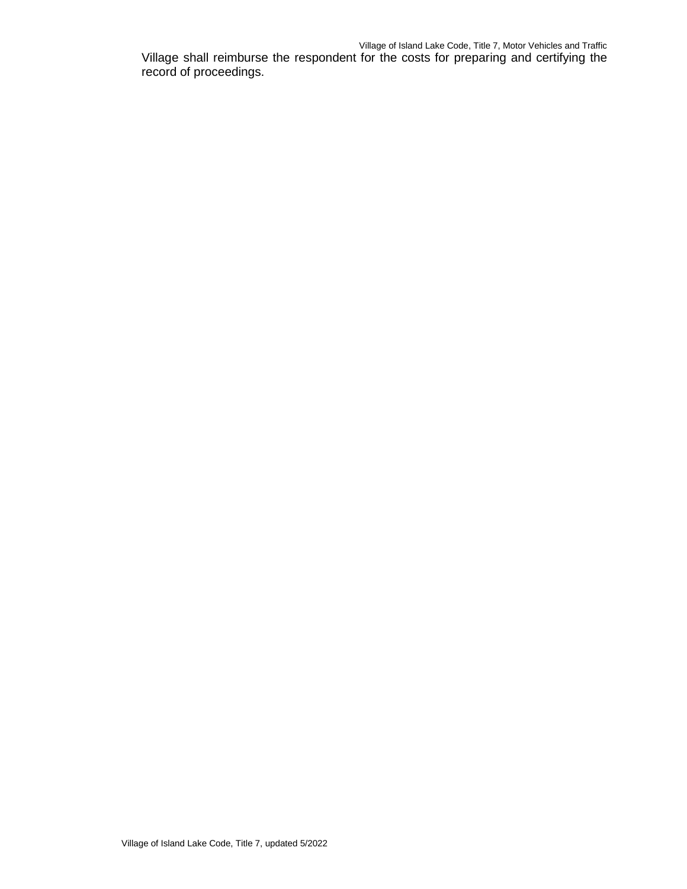Village shall reimburse the respondent for the costs for preparing and certifying the record of proceedings.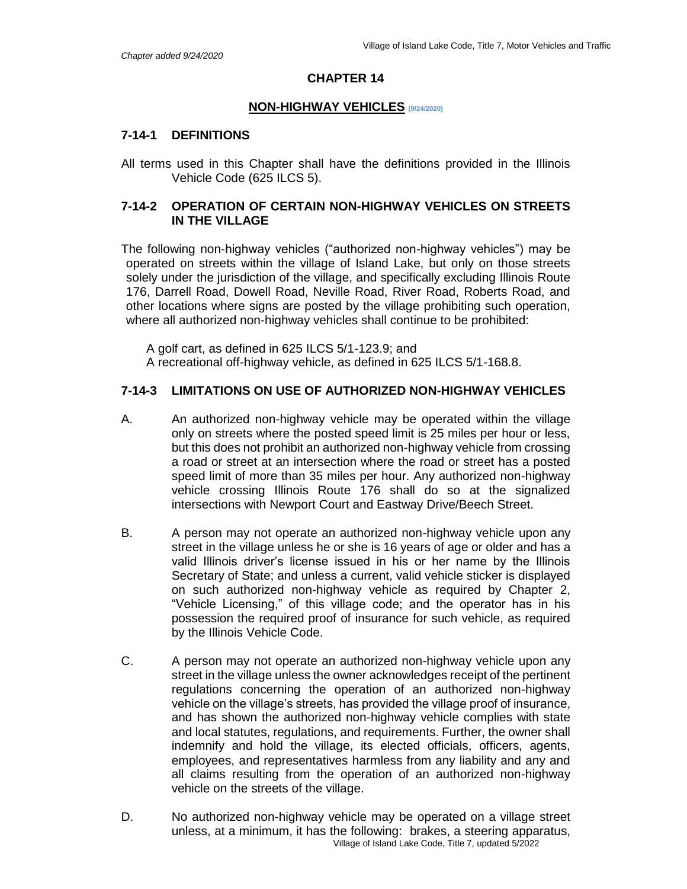#### **NON-HIGHWAY VEHICLES (9/24/2020)**

#### **7-14-1 DEFINITIONS**

All terms used in this Chapter shall have the definitions provided in the Illinois Vehicle Code (625 ILCS 5).

### **7-14-2 OPERATION OF CERTAIN NON-HIGHWAY VEHICLES ON STREETS IN THE VILLAGE**

The following non-highway vehicles ("authorized non-highway vehicles") may be operated on streets within the village of Island Lake, but only on those streets solely under the jurisdiction of the village, and specifically excluding Illinois Route 176, Darrell Road, Dowell Road, Neville Road, River Road, Roberts Road, and other locations where signs are posted by the village prohibiting such operation, where all authorized non-highway vehicles shall continue to be prohibited:

A golf cart, as defined in 625 ILCS 5/1-123.9; and A recreational off-highway vehicle, as defined in 625 ILCS 5/1-168.8.

### **7-14-3 LIMITATIONS ON USE OF AUTHORIZED NON-HIGHWAY VEHICLES**

- A. An authorized non-highway vehicle may be operated within the village only on streets where the posted speed limit is 25 miles per hour or less, but this does not prohibit an authorized non-highway vehicle from crossing a road or street at an intersection where the road or street has a posted speed limit of more than 35 miles per hour. Any authorized non-highway vehicle crossing Illinois Route 176 shall do so at the signalized intersections with Newport Court and Eastway Drive/Beech Street.
- B. A person may not operate an authorized non-highway vehicle upon any street in the village unless he or she is 16 years of age or older and has a valid Illinois driver's license issued in his or her name by the Illinois Secretary of State; and unless a current, valid vehicle sticker is displayed on such authorized non-highway vehicle as required by Chapter 2, "Vehicle Licensing," of this village code; and the operator has in his possession the required proof of insurance for such vehicle, as required by the Illinois Vehicle Code.
- C. A person may not operate an authorized non-highway vehicle upon any street in the village unless the owner acknowledges receipt of the pertinent regulations concerning the operation of an authorized non-highway vehicle on the village's streets, has provided the village proof of insurance, and has shown the authorized non-highway vehicle complies with state and local statutes, regulations, and requirements. Further, the owner shall indemnify and hold the village, its elected officials, officers, agents, employees, and representatives harmless from any liability and any and all claims resulting from the operation of an authorized non-highway vehicle on the streets of the village.
- Village of Island Lake Code, Title 7, updated 5/2022 D. No authorized non-highway vehicle may be operated on a village street unless, at a minimum, it has the following: brakes, a steering apparatus,